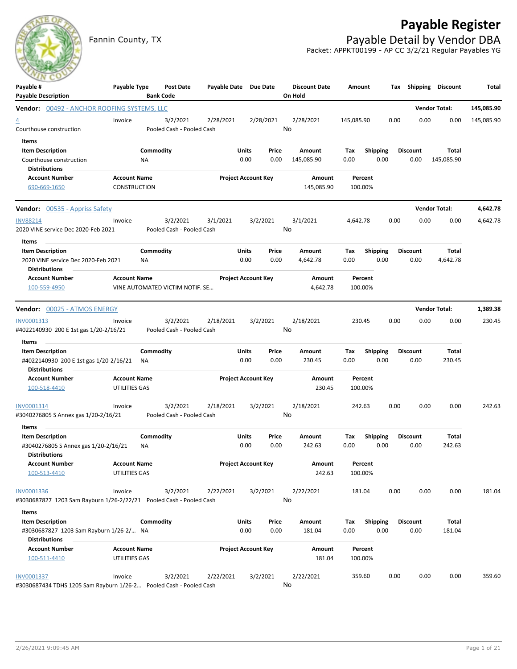## **Payable Register**

Fannin County, TX **Payable Detail by Vendor DBA** Packet: APPKT00199 - AP CC 3/2/21 Regular Payables YG



| Payable #                                                           | Payable Type        |                 | Post Date                             | Payable Date Due Date |                            |               | <b>Discount Date</b> | Amount      |                         |      |                         | Tax Shipping Discount | Total      |
|---------------------------------------------------------------------|---------------------|-----------------|---------------------------------------|-----------------------|----------------------------|---------------|----------------------|-------------|-------------------------|------|-------------------------|-----------------------|------------|
| <b>Payable Description</b>                                          |                     |                 | <b>Bank Code</b>                      |                       |                            |               | On Hold              |             |                         |      |                         |                       |            |
| <b>Vendor: 00492 - ANCHOR ROOFING SYSTEMS, LLC</b>                  |                     |                 |                                       |                       |                            |               |                      |             |                         |      |                         | <b>Vendor Total:</b>  | 145,085.90 |
| $\overline{4}$<br>Courthouse construction                           | Invoice             |                 | 3/2/2021<br>Pooled Cash - Pooled Cash | 2/28/2021             |                            | 2/28/2021     | 2/28/2021<br>No      | 145,085.90  |                         | 0.00 | 0.00                    | 0.00                  | 145,085.90 |
|                                                                     |                     |                 |                                       |                       |                            |               |                      |             |                         |      |                         |                       |            |
| Items                                                               |                     |                 |                                       |                       |                            |               |                      |             |                         |      |                         |                       |            |
| <b>Item Description</b>                                             |                     | Commodity<br>NA |                                       |                       | Units<br>0.00              | Price<br>0.00 | Amount<br>145,085.90 | Tax<br>0.00 | <b>Shipping</b><br>0.00 |      | <b>Discount</b><br>0.00 | Total<br>145,085.90   |            |
| Courthouse construction<br><b>Distributions</b>                     |                     |                 |                                       |                       |                            |               |                      |             |                         |      |                         |                       |            |
| <b>Account Number</b>                                               | <b>Account Name</b> |                 |                                       |                       | <b>Project Account Key</b> |               | Amount               | Percent     |                         |      |                         |                       |            |
| 690-669-1650                                                        | <b>CONSTRUCTION</b> |                 |                                       |                       |                            |               | 145,085.90           | 100.00%     |                         |      |                         |                       |            |
| <b>Vendor:</b> 00535 - Appriss Safety                               |                     |                 |                                       |                       |                            |               |                      |             |                         |      |                         | <b>Vendor Total:</b>  | 4,642.78   |
| <b>INV88214</b>                                                     | Invoice             |                 | 3/2/2021                              | 3/1/2021              |                            | 3/2/2021      | 3/1/2021             | 4,642.78    |                         | 0.00 | 0.00                    | 0.00                  | 4,642.78   |
| 2020 VINE service Dec 2020-Feb 2021                                 |                     |                 | Pooled Cash - Pooled Cash             |                       |                            |               | No                   |             |                         |      |                         |                       |            |
| Items                                                               |                     |                 |                                       |                       |                            |               |                      |             |                         |      |                         |                       |            |
| <b>Item Description</b>                                             |                     | Commodity       |                                       |                       | <b>Units</b>               | Price         | Amount               | Tax         | <b>Shipping</b>         |      | <b>Discount</b>         | Total                 |            |
| 2020 VINE service Dec 2020-Feb 2021<br>Distributions                |                     | NA              |                                       |                       | 0.00                       | 0.00          | 4,642.78             | 0.00        | 0.00                    |      | 0.00                    | 4,642.78              |            |
| <b>Account Number</b>                                               | <b>Account Name</b> |                 |                                       |                       | <b>Project Account Key</b> |               | Amount               | Percent     |                         |      |                         |                       |            |
| 100-559-4950                                                        |                     |                 | VINE AUTOMATED VICTIM NOTIF. SE       |                       |                            |               | 4,642.78             | 100.00%     |                         |      |                         |                       |            |
| Vendor: 00025 - ATMOS ENERGY                                        |                     |                 |                                       |                       |                            |               |                      |             |                         |      |                         | <b>Vendor Total:</b>  | 1,389.38   |
| INV0001313                                                          | Invoice             |                 | 3/2/2021                              | 2/18/2021             |                            | 3/2/2021      | 2/18/2021            | 230.45      |                         | 0.00 | 0.00                    | 0.00                  | 230.45     |
| #4022140930 200 E 1st gas 1/20-2/16/21                              |                     |                 | Pooled Cash - Pooled Cash             |                       |                            |               | No                   |             |                         |      |                         |                       |            |
| Items                                                               |                     |                 |                                       |                       |                            |               |                      |             |                         |      |                         |                       |            |
| <b>Item Description</b>                                             |                     | Commodity       |                                       |                       | Units                      | Price         | Amount               | Tax         | <b>Shipping</b>         |      | <b>Discount</b>         | Total                 |            |
| #4022140930 200 E 1st gas 1/20-2/16/21                              |                     | NA              |                                       |                       | 0.00                       | 0.00          | 230.45               | 0.00        | 0.00                    |      | 0.00                    | 230.45                |            |
| <b>Distributions</b>                                                |                     |                 |                                       |                       |                            |               |                      |             |                         |      |                         |                       |            |
| <b>Account Number</b>                                               | <b>Account Name</b> |                 |                                       |                       | <b>Project Account Key</b> |               | Amount               | Percent     |                         |      |                         |                       |            |
| 100-518-4410                                                        | UTILITIES GAS       |                 |                                       |                       |                            |               | 230.45               | 100.00%     |                         |      |                         |                       |            |
| INV0001314                                                          | Invoice             |                 | 3/2/2021                              | 2/18/2021             |                            | 3/2/2021      | 2/18/2021            | 242.63      |                         | 0.00 | 0.00                    | 0.00                  | 242.63     |
| #3040276805 S Annex gas 1/20-2/16/21                                |                     |                 | Pooled Cash - Pooled Cash             |                       |                            |               | No                   |             |                         |      |                         |                       |            |
| Items                                                               |                     |                 |                                       |                       |                            |               |                      |             |                         |      |                         |                       |            |
| <b>Item Description</b>                                             |                     | Commodity       |                                       |                       | Units                      | Price         | Amount               | Tax         | <b>Shipping</b>         |      | <b>Discount</b>         | Total                 |            |
| #3040276805 S Annex gas 1/20-2/16/21                                |                     | NA              |                                       |                       | 0.00                       | 0.00          | 242.63               | 0.00        | 0.00                    |      | 0.00                    | 242.63                |            |
| <b>Distributions</b>                                                |                     |                 |                                       |                       |                            |               |                      |             |                         |      |                         |                       |            |
| Account Number                                                      | <b>Account Name</b> |                 |                                       |                       | <b>Project Account Key</b> |               | Amount               | Percent     |                         |      |                         |                       |            |
| 100-513-4410                                                        | UTILITIES GAS       |                 |                                       |                       |                            |               | 242.63               | 100.00%     |                         |      |                         |                       |            |
| INV0001336                                                          | Invoice             |                 | 3/2/2021                              | 2/22/2021             |                            | 3/2/2021      | 2/22/2021            | 181.04      |                         | 0.00 | 0.00                    | 0.00                  | 181.04     |
| #3030687827 1203 Sam Rayburn 1/26-2/22/21 Pooled Cash - Pooled Cash |                     |                 |                                       |                       |                            |               | No                   |             |                         |      |                         |                       |            |
| Items                                                               |                     |                 |                                       |                       |                            |               |                      |             |                         |      |                         |                       |            |
| <b>Item Description</b>                                             |                     | Commodity       |                                       |                       | Units                      | Price         | Amount               | Tax         | <b>Shipping</b>         |      | <b>Discount</b>         | Total                 |            |
| #3030687827 1203 Sam Rayburn 1/26-2/ NA                             |                     |                 |                                       |                       | 0.00                       | 0.00          | 181.04               | 0.00        | 0.00                    |      | 0.00                    | 181.04                |            |
| <b>Distributions</b>                                                |                     |                 |                                       |                       |                            |               |                      |             |                         |      |                         |                       |            |
| <b>Account Number</b>                                               | <b>Account Name</b> |                 |                                       |                       | <b>Project Account Key</b> |               | Amount               | Percent     |                         |      |                         |                       |            |
| 100-511-4410                                                        | UTILITIES GAS       |                 |                                       |                       |                            |               | 181.04               | 100.00%     |                         |      |                         |                       |            |
| INV0001337                                                          | Invoice             |                 | 3/2/2021                              | 2/22/2021             |                            | 3/2/2021      | 2/22/2021            | 359.60      |                         | 0.00 | 0.00                    | 0.00                  | 359.60     |
| #3030687434 TDHS 1205 Sam Rayburn 1/26-2 Pooled Cash - Pooled Cash  |                     |                 |                                       |                       |                            |               | No                   |             |                         |      |                         |                       |            |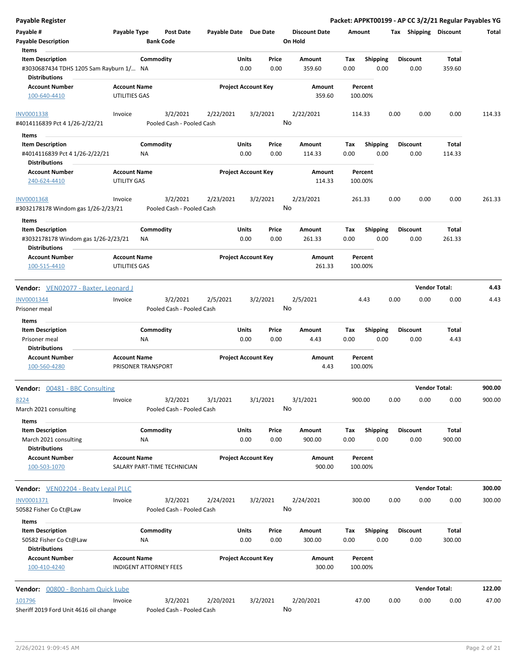| <b>Payable Register</b>                                                                             |                                           |                                       |                            |               |                |                                 |             |                         |      |                         | Packet: APPKT00199 - AP CC 3/2/21 Regular Payables YG |        |
|-----------------------------------------------------------------------------------------------------|-------------------------------------------|---------------------------------------|----------------------------|---------------|----------------|---------------------------------|-------------|-------------------------|------|-------------------------|-------------------------------------------------------|--------|
| Payable #<br><b>Payable Description</b>                                                             | Payable Type                              | <b>Post Date</b><br><b>Bank Code</b>  | Payable Date Due Date      |               |                | <b>Discount Date</b><br>On Hold | Amount      |                         |      | Tax Shipping Discount   |                                                       | Total  |
| Items<br><b>Item Description</b><br>#3030687434 TDHS 1205 Sam Rayburn 1/ NA<br><b>Distributions</b> |                                           | Commodity                             |                            | Units<br>0.00 | Price<br>0.00  | Amount<br>359.60                | Tax<br>0.00 | <b>Shipping</b><br>0.00 |      | <b>Discount</b><br>0.00 | Total<br>359.60                                       |        |
| <b>Account Number</b><br>100-640-4410                                                               | <b>Account Name</b><br>UTILITIES GAS      |                                       | <b>Project Account Key</b> |               |                | Amount<br>359.60                |             | Percent<br>100.00%      |      |                         |                                                       |        |
| INV0001338<br>#4014116839 Pct 4 1/26-2/22/21                                                        | Invoice                                   | 3/2/2021<br>Pooled Cash - Pooled Cash | 2/22/2021                  |               | 3/2/2021<br>No | 2/22/2021                       |             | 114.33                  | 0.00 | 0.00                    | 0.00                                                  | 114.33 |
| Items<br><b>Item Description</b><br>#4014116839 Pct 4 1/26-2/22/21<br><b>Distributions</b>          |                                           | Commodity<br>ΝA                       |                            | Units<br>0.00 | Price<br>0.00  | Amount<br>114.33                | Tax<br>0.00 | <b>Shipping</b><br>0.00 |      | <b>Discount</b><br>0.00 | Total<br>114.33                                       |        |
| <b>Account Number</b><br>240-624-4410                                                               | <b>Account Name</b><br><b>UTILITY GAS</b> |                                       | <b>Project Account Key</b> |               |                | Amount<br>114.33                |             | Percent<br>100.00%      |      |                         |                                                       |        |
| <b>INV0001368</b><br>#3032178178 Windom gas 1/26-2/23/21                                            | Invoice                                   | 3/2/2021<br>Pooled Cash - Pooled Cash | 2/23/2021                  |               | 3/2/2021<br>No | 2/23/2021                       |             | 261.33                  | 0.00 | 0.00                    | 0.00                                                  | 261.33 |
| Items<br><b>Item Description</b><br>#3032178178 Windom gas 1/26-2/23/21<br><b>Distributions</b>     |                                           | Commodity<br>ΝA                       |                            | Units<br>0.00 | Price<br>0.00  | Amount<br>261.33                | Tax<br>0.00 | <b>Shipping</b><br>0.00 |      | <b>Discount</b><br>0.00 | Total<br>261.33                                       |        |
| <b>Account Number</b><br>100-515-4410                                                               | <b>Account Name</b><br>UTILITIES GAS      |                                       | <b>Project Account Key</b> |               |                | Amount<br>261.33                |             | Percent<br>100.00%      |      |                         |                                                       |        |
| Vendor: VEN02077 - Baxter, Leonard J                                                                |                                           |                                       |                            |               |                |                                 |             |                         |      | <b>Vendor Total:</b>    |                                                       | 4.43   |
| INV0001344<br>Prisoner meal                                                                         | Invoice                                   | 3/2/2021<br>Pooled Cash - Pooled Cash | 2/5/2021                   |               | 3/2/2021<br>No | 2/5/2021                        |             | 4.43                    | 0.00 | 0.00                    | 0.00                                                  | 4.43   |
| Items<br><b>Item Description</b><br>Prisoner meal                                                   |                                           | Commodity<br>NA                       |                            | Units<br>0.00 | Price<br>0.00  | Amount<br>4.43                  | Tax<br>0.00 | Shipping<br>0.00        |      | <b>Discount</b><br>0.00 | Total<br>4.43                                         |        |
| Distributions<br><b>Account Number</b><br>100-560-4280                                              | <b>Account Name</b>                       | PRISONER TRANSPORT                    | <b>Project Account Key</b> |               |                | Amount<br>4.43                  |             | Percent<br>100.00%      |      |                         |                                                       |        |
| Vendor: 00481 - BBC Consulting                                                                      |                                           |                                       |                            |               |                |                                 |             |                         |      | <b>Vendor Total:</b>    |                                                       | 900.00 |
| 8224<br>March 2021 consulting                                                                       | Invoice                                   | 3/2/2021<br>Pooled Cash - Pooled Cash | 3/1/2021                   |               | 3/1/2021<br>No | 3/1/2021                        |             | 900.00                  | 0.00 | 0.00                    | 0.00                                                  | 900.00 |
| Items<br><b>Item Description</b><br>March 2021 consulting                                           |                                           | Commodity<br>ΝA                       |                            | Units<br>0.00 | Price<br>0.00  | Amount<br>900.00                | Tax<br>0.00 | <b>Shipping</b><br>0.00 |      | <b>Discount</b><br>0.00 | Total<br>900.00                                       |        |
| <b>Distributions</b><br>Account Number<br>100-503-1070                                              | <b>Account Name</b>                       | SALARY PART-TIME TECHNICIAN           | <b>Project Account Key</b> |               |                | Amount<br>900.00                |             | Percent<br>100.00%      |      |                         |                                                       |        |
| <b>Vendor:</b> VEN02204 - Beaty Legal PLLC                                                          |                                           |                                       |                            |               |                |                                 |             |                         |      | <b>Vendor Total:</b>    |                                                       | 300.00 |
| INV0001371<br>50582 Fisher Co Ct@Law                                                                | Invoice                                   | 3/2/2021<br>Pooled Cash - Pooled Cash | 2/24/2021                  |               | 3/2/2021<br>No | 2/24/2021                       |             | 300.00                  | 0.00 | 0.00                    | 0.00                                                  | 300.00 |
| Items<br><b>Item Description</b><br>50582 Fisher Co Ct@Law                                          |                                           | Commodity<br><b>NA</b>                |                            | Units<br>0.00 | Price<br>0.00  | Amount<br>300.00                | Tax<br>0.00 | <b>Shipping</b><br>0.00 |      | <b>Discount</b><br>0.00 | Total<br>300.00                                       |        |
| Distributions<br>Account Number<br>100-410-4240                                                     | <b>Account Name</b>                       | INDIGENT ATTORNEY FEES                | <b>Project Account Key</b> |               |                | Amount<br>300.00                |             | Percent<br>100.00%      |      |                         |                                                       |        |
| Vendor: 00800 - Bonham Quick Lube                                                                   |                                           |                                       |                            |               |                |                                 |             |                         |      | <b>Vendor Total:</b>    |                                                       | 122.00 |
| 101796<br>Sheriff 2019 Ford Unit 4616 oil change                                                    | Invoice                                   | 3/2/2021<br>Pooled Cash - Pooled Cash | 2/20/2021                  |               | 3/2/2021<br>No | 2/20/2021                       |             | 47.00                   | 0.00 | 0.00                    | 0.00                                                  | 47.00  |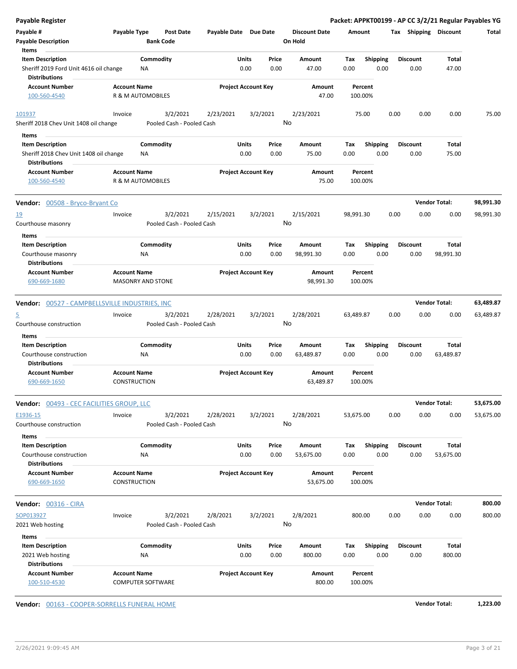| <b>Payable Register</b>                                                    |                                                 |                                       |                       |                                |                                 |                     |                    |                         |      |                         |                       | Packet: APPKT00199 - AP CC 3/2/21 Regular Payables YG |
|----------------------------------------------------------------------------|-------------------------------------------------|---------------------------------------|-----------------------|--------------------------------|---------------------------------|---------------------|--------------------|-------------------------|------|-------------------------|-----------------------|-------------------------------------------------------|
| Payable #<br><b>Payable Description</b>                                    | Payable Type<br><b>Bank Code</b>                | <b>Post Date</b>                      | Payable Date Due Date |                                | <b>Discount Date</b><br>On Hold |                     | Amount             |                         |      |                         | Tax Shipping Discount | Total                                                 |
| Items                                                                      |                                                 |                                       |                       |                                |                                 |                     |                    |                         |      |                         |                       |                                                       |
| <b>Item Description</b><br>Sheriff 2019 Ford Unit 4616 oil change          | Commodity<br><b>NA</b>                          |                                       |                       | Units<br>Price<br>0.00<br>0.00 | Amount<br>47.00                 |                     | Tax<br>0.00        | <b>Shipping</b><br>0.00 |      | <b>Discount</b><br>0.00 | Total<br>47.00        |                                                       |
| <b>Distributions</b>                                                       |                                                 |                                       |                       |                                |                                 |                     |                    |                         |      |                         |                       |                                                       |
| <b>Account Number</b><br>100-560-4540                                      | <b>Account Name</b><br>R & M AUTOMOBILES        |                                       |                       | <b>Project Account Key</b>     |                                 | Amount<br>47.00     | Percent<br>100.00% |                         |      |                         |                       |                                                       |
| 101937                                                                     | Invoice                                         | 3/2/2021                              | 2/23/2021             | 3/2/2021                       | 2/23/2021                       |                     | 75.00              |                         | 0.00 | 0.00                    | 0.00                  | 75.00                                                 |
| Sheriff 2018 Chev Unit 1408 oil change                                     |                                                 | Pooled Cash - Pooled Cash             |                       |                                | No                              |                     |                    |                         |      |                         |                       |                                                       |
| Items<br><b>Item Description</b>                                           | Commodity                                       |                                       |                       | Units<br>Price                 | Amount                          |                     | Tax                | <b>Shipping</b>         |      | <b>Discount</b>         | Total                 |                                                       |
| Sheriff 2018 Chev Unit 1408 oil change                                     | ΝA                                              |                                       |                       | 0.00<br>0.00                   | 75.00                           |                     | 0.00               | 0.00                    |      | 0.00                    | 75.00                 |                                                       |
| <b>Distributions</b>                                                       |                                                 |                                       |                       |                                |                                 |                     |                    |                         |      |                         |                       |                                                       |
| <b>Account Number</b>                                                      | <b>Account Name</b>                             |                                       |                       | <b>Project Account Key</b>     |                                 | Amount              | Percent            |                         |      |                         |                       |                                                       |
| 100-560-4540                                                               | R & M AUTOMOBILES                               |                                       |                       |                                |                                 | 75.00               | 100.00%            |                         |      |                         |                       |                                                       |
| Vendor: 00508 - Bryco-Bryant Co                                            |                                                 |                                       |                       |                                |                                 |                     |                    |                         |      |                         | <b>Vendor Total:</b>  | 98,991.30                                             |
| 19                                                                         | Invoice                                         | 3/2/2021                              | 2/15/2021             | 3/2/2021                       | 2/15/2021                       |                     | 98,991.30          |                         | 0.00 | 0.00                    | 0.00                  | 98,991.30                                             |
| Courthouse masonry                                                         |                                                 | Pooled Cash - Pooled Cash             |                       |                                | No                              |                     |                    |                         |      |                         |                       |                                                       |
| Items                                                                      |                                                 |                                       |                       |                                |                                 |                     |                    |                         |      |                         |                       |                                                       |
| <b>Item Description</b>                                                    | Commodity                                       |                                       |                       | Units<br>Price                 | Amount                          |                     | Tax                | Shipping                |      | <b>Discount</b>         | Total                 |                                                       |
| Courthouse masonry                                                         | ΝA                                              |                                       |                       | 0.00<br>0.00                   | 98,991.30                       |                     | 0.00               | 0.00                    |      | 0.00                    | 98,991.30             |                                                       |
| <b>Distributions</b>                                                       |                                                 |                                       |                       |                                |                                 |                     |                    |                         |      |                         |                       |                                                       |
| <b>Account Number</b><br>690-669-1680                                      | <b>Account Name</b><br><b>MASONRY AND STONE</b> |                                       |                       | <b>Project Account Key</b>     |                                 | Amount<br>98,991.30 | Percent<br>100.00% |                         |      |                         |                       |                                                       |
| Vendor: 00527 - CAMPBELLSVILLE INDUSTRIES, INC                             |                                                 |                                       |                       |                                |                                 |                     |                    |                         |      |                         | <b>Vendor Total:</b>  | 63,489.87                                             |
| 5                                                                          | Invoice                                         | 3/2/2021                              | 2/28/2021             | 3/2/2021                       | 2/28/2021                       |                     | 63,489.87          |                         | 0.00 | 0.00                    | 0.00                  | 63,489.87                                             |
| Courthouse construction                                                    |                                                 | Pooled Cash - Pooled Cash             |                       |                                | No                              |                     |                    |                         |      |                         |                       |                                                       |
| Items<br><b>Item Description</b>                                           | Commodity                                       |                                       |                       | Units<br>Price                 | Amount                          |                     | Tax                | <b>Shipping</b>         |      | <b>Discount</b>         | <b>Total</b>          |                                                       |
| Courthouse construction<br><b>Distributions</b>                            | <b>NA</b>                                       |                                       |                       | 0.00<br>0.00                   | 63,489.87                       |                     | 0.00               | 0.00                    |      | 0.00                    | 63,489.87             |                                                       |
| <b>Account Number</b><br>690-669-1650                                      | <b>Account Name</b><br><b>CONSTRUCTION</b>      |                                       |                       | <b>Project Account Key</b>     |                                 | Amount<br>63,489.87 | Percent<br>100.00% |                         |      |                         |                       |                                                       |
| <b>Vendor: 00493 - CEC FACILITIES GROUP, LLC</b>                           |                                                 |                                       |                       |                                |                                 |                     |                    |                         |      |                         | <b>Vendor Total:</b>  | 53,675.00                                             |
| E1936-15<br>Courthouse construction                                        | Invoice                                         | 3/2/2021<br>Pooled Cash - Pooled Cash | 2/28/2021             | 3/2/2021                       | 2/28/2021<br>No                 |                     | 53,675.00          |                         | 0.00 | 0.00                    | 0.00                  | 53,675.00                                             |
| Items                                                                      |                                                 |                                       |                       |                                |                                 |                     |                    |                         |      |                         |                       |                                                       |
| <b>Item Description</b><br>Courthouse construction<br><b>Distributions</b> | Commodity<br>ΝA                                 |                                       |                       | Units<br>Price<br>0.00<br>0.00 | Amount<br>53,675.00             |                     | Tax<br>0.00        | Shipping<br>0.00        |      | <b>Discount</b><br>0.00 | Total<br>53,675.00    |                                                       |
| <b>Account Number</b><br>690-669-1650                                      | <b>Account Name</b><br>CONSTRUCTION             |                                       |                       | <b>Project Account Key</b>     |                                 | Amount<br>53,675.00 | Percent<br>100.00% |                         |      |                         |                       |                                                       |
| <b>Vendor: 00316 - CIRA</b>                                                |                                                 |                                       |                       |                                |                                 |                     |                    |                         |      |                         | <b>Vendor Total:</b>  | 800.00                                                |
| SOP013927                                                                  | Invoice                                         | 3/2/2021                              | 2/8/2021              | 3/2/2021                       | 2/8/2021                        |                     | 800.00             |                         | 0.00 | 0.00                    | 0.00                  | 800.00                                                |
| 2021 Web hosting                                                           |                                                 | Pooled Cash - Pooled Cash             |                       |                                | No                              |                     |                    |                         |      |                         |                       |                                                       |
|                                                                            |                                                 |                                       |                       |                                |                                 |                     |                    |                         |      |                         |                       |                                                       |
| Items<br><b>Item Description</b>                                           | Commodity                                       |                                       |                       | Units<br>Price                 | Amount                          |                     | Tax                | Shipping                |      | <b>Discount</b>         | Total                 |                                                       |
| 2021 Web hosting<br><b>Distributions</b>                                   | NA                                              |                                       |                       | 0.00<br>0.00                   | 800.00                          |                     | 0.00               | 0.00                    |      | 0.00                    | 800.00                |                                                       |
| <b>Account Number</b><br>100-510-4530                                      | <b>Account Name</b><br><b>COMPUTER SOFTWARE</b> |                                       |                       | <b>Project Account Key</b>     |                                 | Amount<br>800.00    | Percent<br>100.00% |                         |      |                         |                       |                                                       |

**Vendor:** 00163 - COOPER-SORRELLS FUNERAL HOME **Vendor Total: 1,223.00**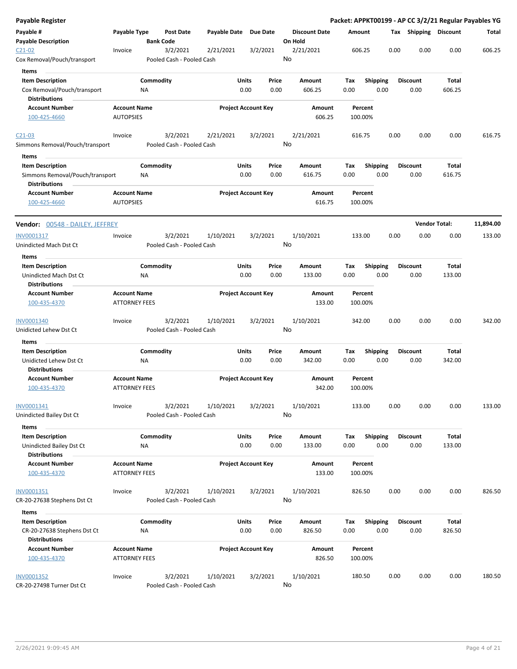| <b>Payable Register</b>                                 |                                             |                  |                                       |              |               |                            |                 |                      |             |                         |      |                         |                      | Packet: APPKT00199 - AP CC 3/2/21 Regular Payables YG |
|---------------------------------------------------------|---------------------------------------------|------------------|---------------------------------------|--------------|---------------|----------------------------|-----------------|----------------------|-------------|-------------------------|------|-------------------------|----------------------|-------------------------------------------------------|
| Payable #<br><b>Payable Description</b>                 | Payable Type                                | <b>Bank Code</b> | Post Date                             | Payable Date |               | <b>Due Date</b>            | On Hold         | <b>Discount Date</b> | Amount      |                         |      | Tax Shipping Discount   |                      | Total                                                 |
| $C21-02$<br>Cox Removal/Pouch/transport                 | Invoice                                     |                  | 3/2/2021<br>Pooled Cash - Pooled Cash | 2/21/2021    |               | 3/2/2021                   | 2/21/2021<br>No |                      | 606.25      |                         | 0.00 | 0.00                    | 0.00                 | 606.25                                                |
| Items                                                   |                                             |                  |                                       |              |               |                            |                 |                      |             |                         |      |                         |                      |                                                       |
| <b>Item Description</b>                                 |                                             | Commodity        |                                       |              | Units         | Price                      | Amount          |                      | Tax         | <b>Shipping</b>         |      | <b>Discount</b>         | Total                |                                                       |
| Cox Removal/Pouch/transport                             |                                             | ΝA               |                                       |              | 0.00          | 0.00                       |                 | 606.25               | 0.00        | 0.00                    |      | 0.00                    | 606.25               |                                                       |
| <b>Distributions</b>                                    |                                             |                  |                                       |              |               |                            |                 |                      |             |                         |      |                         |                      |                                                       |
| <b>Account Number</b>                                   | <b>Account Name</b>                         |                  |                                       |              |               | <b>Project Account Key</b> |                 | Amount               |             | Percent                 |      |                         |                      |                                                       |
| 100-425-4660                                            | <b>AUTOPSIES</b>                            |                  |                                       |              |               |                            |                 | 606.25               | 100.00%     |                         |      |                         |                      |                                                       |
| $C21-03$                                                | Invoice                                     |                  | 3/2/2021                              | 2/21/2021    |               | 3/2/2021                   | 2/21/2021       |                      | 616.75      |                         | 0.00 | 0.00                    | 0.00                 | 616.75                                                |
| Simmons Removal/Pouch/transport                         |                                             |                  | Pooled Cash - Pooled Cash             |              |               |                            | No              |                      |             |                         |      |                         |                      |                                                       |
| Items                                                   |                                             |                  |                                       |              |               |                            |                 |                      |             |                         |      |                         |                      |                                                       |
| <b>Item Description</b>                                 |                                             | Commodity        |                                       |              | Units         | Price                      | Amount          |                      | Tax         | <b>Shipping</b>         |      | <b>Discount</b>         | Total                |                                                       |
| Simmons Removal/Pouch/transport<br><b>Distributions</b> |                                             | ΝA               |                                       |              | 0.00          | 0.00                       |                 | 616.75               | 0.00        | 0.00                    |      | 0.00                    | 616.75               |                                                       |
| <b>Account Number</b><br>100-425-4660                   | <b>Account Name</b><br><b>AUTOPSIES</b>     |                  |                                       |              |               | <b>Project Account Key</b> |                 | Amount<br>616.75     | 100.00%     | Percent                 |      |                         |                      |                                                       |
| <b>Vendor:</b> 00548 - DAILEY, JEFFREY                  |                                             |                  |                                       |              |               |                            |                 |                      |             |                         |      |                         | <b>Vendor Total:</b> | 11,894.00                                             |
|                                                         |                                             |                  |                                       |              |               |                            |                 |                      |             |                         |      |                         |                      |                                                       |
| INV0001317<br>Unindicted Mach Dst Ct                    | Invoice                                     |                  | 3/2/2021<br>Pooled Cash - Pooled Cash | 1/10/2021    |               | 3/2/2021                   | 1/10/2021<br>No |                      | 133.00      |                         | 0.00 | 0.00                    | 0.00                 | 133.00                                                |
| Items                                                   |                                             |                  |                                       |              |               |                            |                 |                      |             |                         |      |                         |                      |                                                       |
| <b>Item Description</b>                                 |                                             | Commodity        |                                       |              | Units         | Price                      | Amount          |                      | Tax         | <b>Shipping</b>         |      | <b>Discount</b>         | Total                |                                                       |
| Unindicted Mach Dst Ct<br><b>Distributions</b>          |                                             | NA               |                                       |              | 0.00          | 0.00                       |                 | 133.00               | 0.00        | 0.00                    |      | 0.00                    | 133.00               |                                                       |
| <b>Account Number</b><br>100-435-4370                   | <b>Account Name</b><br><b>ATTORNEY FEES</b> |                  |                                       |              |               | <b>Project Account Key</b> |                 | Amount<br>133.00     | 100.00%     | Percent                 |      |                         |                      |                                                       |
| INV0001340                                              | Invoice                                     |                  | 3/2/2021                              | 1/10/2021    |               | 3/2/2021                   | 1/10/2021       |                      | 342.00      |                         | 0.00 | 0.00                    | 0.00                 | 342.00                                                |
| Unidicted Lehew Dst Ct                                  |                                             |                  | Pooled Cash - Pooled Cash             |              |               |                            | No              |                      |             |                         |      |                         |                      |                                                       |
| Items                                                   |                                             |                  |                                       |              |               |                            |                 |                      |             |                         |      |                         |                      |                                                       |
| <b>Item Description</b>                                 |                                             | Commodity        |                                       |              | Units         | Price                      | Amount          |                      | Tax         | <b>Shipping</b>         |      | <b>Discount</b>         | Total                |                                                       |
| Unidicted Lehew Dst Ct<br><b>Distributions</b>          |                                             | ΝA               |                                       |              | 0.00          | 0.00                       |                 | 342.00               | 0.00        | 0.00                    |      | 0.00                    | 342.00               |                                                       |
| <b>Account Number</b><br>100-435-4370                   | <b>Account Name</b><br><b>ATTORNEY FEES</b> |                  |                                       |              |               | <b>Project Account Key</b> |                 | Amount<br>342.00     | 100.00%     | Percent                 |      |                         |                      |                                                       |
| INV0001341                                              | Invoice                                     |                  | 3/2/2021                              | 1/10/2021    |               | 3/2/2021                   | 1/10/2021       |                      | 133.00      |                         | 0.00 | 0.00                    | 0.00                 | 133.00                                                |
| Unindicted Bailey Dst Ct                                |                                             |                  | Pooled Cash - Pooled Cash             |              |               |                            | No              |                      |             |                         |      |                         |                      |                                                       |
| Items                                                   |                                             |                  |                                       |              |               |                            |                 |                      |             |                         |      |                         |                      |                                                       |
| <b>Item Description</b><br>Unindicted Bailey Dst Ct     |                                             | Commodity<br>NA  |                                       |              | Units<br>0.00 | Price<br>0.00              | Amount          | 133.00               | Tax<br>0.00 | <b>Shipping</b><br>0.00 |      | <b>Discount</b><br>0.00 | Total<br>133.00      |                                                       |
| <b>Distributions</b>                                    |                                             |                  |                                       |              |               |                            |                 |                      |             |                         |      |                         |                      |                                                       |
| <b>Account Number</b><br>100-435-4370                   | <b>Account Name</b><br><b>ATTORNEY FEES</b> |                  |                                       |              |               | <b>Project Account Key</b> |                 | Amount<br>133.00     | 100.00%     | Percent                 |      |                         |                      |                                                       |
| INV0001351                                              | Invoice                                     |                  | 3/2/2021                              | 1/10/2021    |               | 3/2/2021                   | 1/10/2021       |                      | 826.50      |                         | 0.00 | 0.00                    | 0.00                 | 826.50                                                |
| CR-20-27638 Stephens Dst Ct                             |                                             |                  | Pooled Cash - Pooled Cash             |              |               |                            | No              |                      |             |                         |      |                         |                      |                                                       |
| Items                                                   |                                             |                  |                                       |              |               |                            |                 |                      |             |                         |      |                         |                      |                                                       |
| <b>Item Description</b><br>CR-20-27638 Stephens Dst Ct  |                                             | Commodity<br>ΝA  |                                       |              | Units<br>0.00 | Price<br>0.00              | Amount          | 826.50               | Tax<br>0.00 | <b>Shipping</b><br>0.00 |      | <b>Discount</b><br>0.00 | Total<br>826.50      |                                                       |
| <b>Distributions</b>                                    |                                             |                  |                                       |              |               |                            |                 |                      |             |                         |      |                         |                      |                                                       |
| <b>Account Number</b><br>100-435-4370                   | <b>Account Name</b><br><b>ATTORNEY FEES</b> |                  |                                       |              |               | <b>Project Account Key</b> |                 | Amount<br>826.50     | 100.00%     | Percent                 |      |                         |                      |                                                       |
| INV0001352<br>CR-20-27498 Turner Dst Ct                 | Invoice                                     |                  | 3/2/2021<br>Pooled Cash - Pooled Cash | 1/10/2021    |               | 3/2/2021                   | 1/10/2021<br>No |                      | 180.50      |                         | 0.00 | 0.00                    | 0.00                 | 180.50                                                |
|                                                         |                                             |                  |                                       |              |               |                            |                 |                      |             |                         |      |                         |                      |                                                       |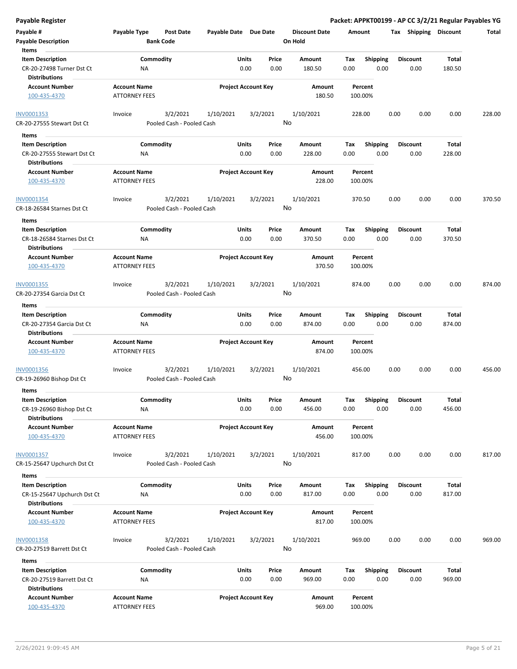| Payable #<br><b>Payable Description</b><br>Items                               | Payable Type                                | <b>Post Date</b><br><b>Bank Code</b>  | Payable Date Due Date |                                       | <b>Discount Date</b><br>On Hold | Amount                                 | Tax Shipping Discount   |                        | Total  |
|--------------------------------------------------------------------------------|---------------------------------------------|---------------------------------------|-----------------------|---------------------------------------|---------------------------------|----------------------------------------|-------------------------|------------------------|--------|
| <b>Item Description</b><br>CR-20-27498 Turner Dst Ct<br><b>Distributions</b>   | ΝA                                          | Commodity                             |                       | Units<br>Price<br>0.00<br>0.00        | Amount<br>180.50                | <b>Shipping</b><br>Tax<br>0.00<br>0.00 | <b>Discount</b><br>0.00 | Total<br>180.50        |        |
| <b>Account Number</b><br>100-435-4370                                          | <b>Account Name</b><br><b>ATTORNEY FEES</b> |                                       |                       | <b>Project Account Key</b>            | Amount<br>180.50                | Percent<br>100.00%                     |                         |                        |        |
| INV0001353<br>CR-20-27555 Stewart Dst Ct                                       | Invoice                                     | 3/2/2021<br>Pooled Cash - Pooled Cash | 1/10/2021             | 3/2/2021                              | 1/10/2021<br>No                 | 228.00                                 | 0.00<br>0.00            | 0.00                   | 228.00 |
| Items<br>$\sim$                                                                |                                             |                                       |                       |                                       |                                 |                                        |                         |                        |        |
| <b>Item Description</b><br>CR-20-27555 Stewart Dst Ct                          | ΝA                                          | Commodity                             |                       | Units<br>Price<br>0.00<br>0.00        | Amount<br>228.00                | Tax<br><b>Shipping</b><br>0.00<br>0.00 | <b>Discount</b><br>0.00 | Total<br>228.00        |        |
| <b>Distributions</b><br><b>Account Number</b><br>100-435-4370                  | <b>Account Name</b><br><b>ATTORNEY FEES</b> |                                       |                       | <b>Project Account Key</b>            | Amount<br>228.00                | Percent<br>100.00%                     |                         |                        |        |
| INV0001354<br>CR-18-26584 Starnes Dst Ct                                       | Invoice                                     | 3/2/2021<br>Pooled Cash - Pooled Cash | 1/10/2021             | 3/2/2021                              | 1/10/2021<br>No                 | 370.50                                 | 0.00<br>0.00            | 0.00                   | 370.50 |
| Items                                                                          |                                             |                                       |                       |                                       |                                 |                                        |                         |                        |        |
| <b>Item Description</b><br>CR-18-26584 Starnes Dst Ct<br><b>Distributions</b>  | ΝA                                          | Commodity                             |                       | Units<br>Price<br>0.00<br>0.00        | Amount<br>370.50                | Tax<br><b>Shipping</b><br>0.00<br>0.00 | <b>Discount</b><br>0.00 | Total<br>370.50        |        |
| <b>Account Number</b><br>100-435-4370                                          | <b>Account Name</b><br><b>ATTORNEY FEES</b> |                                       |                       | <b>Project Account Key</b>            | Amount<br>370.50                | Percent<br>100.00%                     |                         |                        |        |
| INV0001355                                                                     | Invoice                                     | 3/2/2021                              | 1/10/2021             | 3/2/2021                              | 1/10/2021                       | 874.00                                 | 0.00<br>0.00            | 0.00                   | 874.00 |
| CR-20-27354 Garcia Dst Ct                                                      |                                             | Pooled Cash - Pooled Cash             |                       |                                       | No                              |                                        |                         |                        |        |
| Items                                                                          |                                             |                                       |                       |                                       |                                 |                                        |                         |                        |        |
| <b>Item Description</b>                                                        |                                             | Commodity                             |                       | <b>Units</b><br>Price                 | Amount                          | <b>Shipping</b><br>Tax                 | <b>Discount</b>         | <b>Total</b>           |        |
| CR-20-27354 Garcia Dst Ct<br><b>Distributions</b>                              | NA                                          |                                       |                       | 0.00<br>0.00                          | 874.00                          | 0.00<br>0.00                           | 0.00                    | 874.00                 |        |
| <b>Account Number</b><br>100-435-4370                                          | <b>Account Name</b><br><b>ATTORNEY FEES</b> |                                       |                       | <b>Project Account Key</b>            | Amount<br>874.00                | Percent<br>100.00%                     |                         |                        |        |
| INV0001356<br>CR-19-26960 Bishop Dst Ct                                        | Invoice                                     | 3/2/2021<br>Pooled Cash - Pooled Cash | 1/10/2021             | 3/2/2021                              | 1/10/2021<br>No                 | 456.00                                 | 0.00<br>0.00            | 0.00                   | 456.00 |
| Items                                                                          |                                             |                                       |                       |                                       |                                 |                                        |                         |                        |        |
| <b>Item Description</b><br>CR-19-26960 Bishop Dst Ct<br><b>Distributions</b>   | NA                                          | Commodity                             |                       | <b>Units</b><br>Price<br>0.00<br>0.00 | Amount<br>456.00                | <b>Shipping</b><br>Тах<br>0.00<br>0.00 | <b>Discount</b><br>0.00 | <b>Total</b><br>456.00 |        |
| <b>Account Number</b><br>100-435-4370                                          | <b>Account Name</b><br><b>ATTORNEY FEES</b> |                                       |                       | <b>Project Account Key</b>            | Amount<br>456.00                | Percent<br>100.00%                     |                         |                        |        |
| INV0001357<br>CR-15-25647 Upchurch Dst Ct                                      | Invoice                                     | 3/2/2021<br>Pooled Cash - Pooled Cash | 1/10/2021             | 3/2/2021                              | 1/10/2021<br>No                 | 817.00                                 | 0.00<br>0.00            | 0.00                   | 817.00 |
| Items                                                                          |                                             |                                       |                       |                                       |                                 |                                        |                         |                        |        |
| <b>Item Description</b><br>CR-15-25647 Upchurch Dst Ct<br><b>Distributions</b> | NA                                          | Commodity                             |                       | Units<br>Price<br>0.00<br>0.00        | Amount<br>817.00                | <b>Shipping</b><br>Tax<br>0.00<br>0.00 | <b>Discount</b><br>0.00 | Total<br>817.00        |        |
| <b>Account Number</b><br>100-435-4370                                          | <b>Account Name</b><br><b>ATTORNEY FEES</b> |                                       |                       | <b>Project Account Key</b>            | Amount<br>817.00                | Percent<br>100.00%                     |                         |                        |        |
| <b>INV0001358</b><br>CR-20-27519 Barrett Dst Ct                                | Invoice                                     | 3/2/2021<br>Pooled Cash - Pooled Cash | 1/10/2021             | 3/2/2021                              | 1/10/2021<br>No                 | 969.00                                 | 0.00<br>0.00            | 0.00                   | 969.00 |
| Items<br>$\sim$                                                                |                                             |                                       |                       |                                       |                                 |                                        |                         |                        |        |
| <b>Item Description</b><br>CR-20-27519 Barrett Dst Ct<br><b>Distributions</b>  | NA                                          | Commodity                             |                       | <b>Units</b><br>Price<br>0.00<br>0.00 | Amount<br>969.00                | Tax<br><b>Shipping</b><br>0.00<br>0.00 | <b>Discount</b><br>0.00 | Total<br>969.00        |        |
| <b>Account Number</b>                                                          | <b>Account Name</b>                         |                                       |                       | <b>Project Account Key</b>            | Amount                          | Percent                                |                         |                        |        |

100-435-4370 ATTORNEY FEES 969.00 100.00%

**Payable Register Packet: APPKT00199 - AP CC 3/2/21 Regular Payables YG**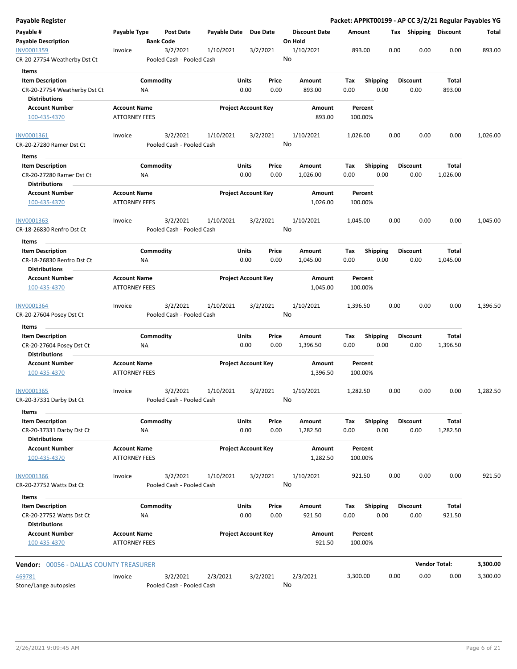| <b>Payable Register</b>                                       |                                             |                                       |                       |                                |                                 |                    |                         |      |                         |                      | Packet: APPKT00199 - AP CC 3/2/21 Regular Payables YG |
|---------------------------------------------------------------|---------------------------------------------|---------------------------------------|-----------------------|--------------------------------|---------------------------------|--------------------|-------------------------|------|-------------------------|----------------------|-------------------------------------------------------|
| Payable #<br><b>Payable Description</b>                       | Payable Type                                | <b>Post Date</b><br><b>Bank Code</b>  | Payable Date Due Date |                                | <b>Discount Date</b><br>On Hold | Amount             |                         |      | Tax Shipping Discount   |                      | Total                                                 |
| INV0001359<br>CR-20-27754 Weatherby Dst Ct                    | Invoice                                     | 3/2/2021<br>Pooled Cash - Pooled Cash | 1/10/2021             | 3/2/2021                       | 1/10/2021<br>No                 | 893.00             |                         | 0.00 | 0.00                    | 0.00                 | 893.00                                                |
| Items                                                         |                                             |                                       |                       |                                |                                 |                    |                         |      |                         |                      |                                                       |
| <b>Item Description</b><br>CR-20-27754 Weatherby Dst Ct       |                                             | Commodity<br>ΝA                       |                       | Units<br>Price<br>0.00<br>0.00 | Amount<br>893.00                | Tax<br>0.00        | <b>Shipping</b><br>0.00 |      | <b>Discount</b><br>0.00 | Total<br>893.00      |                                                       |
| Distributions                                                 |                                             |                                       |                       |                                |                                 |                    |                         |      |                         |                      |                                                       |
| <b>Account Number</b><br>100-435-4370                         | <b>Account Name</b><br><b>ATTORNEY FEES</b> |                                       |                       | <b>Project Account Key</b>     | Amount<br>893.00                | Percent<br>100.00% |                         |      |                         |                      |                                                       |
| INV0001361<br>CR-20-27280 Ramer Dst Ct                        | Invoice                                     | 3/2/2021<br>Pooled Cash - Pooled Cash | 1/10/2021             | 3/2/2021                       | 1/10/2021<br>No                 | 1,026.00           |                         | 0.00 | 0.00                    | 0.00                 | 1,026.00                                              |
| Items                                                         |                                             |                                       |                       |                                |                                 |                    |                         |      |                         |                      |                                                       |
| <b>Item Description</b>                                       |                                             | Commodity                             |                       | Units<br>Price                 | Amount                          | Tax                | <b>Shipping</b>         |      | <b>Discount</b>         | Total                |                                                       |
| CR-20-27280 Ramer Dst Ct<br><b>Distributions</b>              |                                             | NA                                    |                       | 0.00<br>0.00                   | 1,026.00                        | 0.00               | 0.00                    |      | 0.00                    | 1,026.00             |                                                       |
| <b>Account Number</b><br>100-435-4370                         | <b>Account Name</b><br><b>ATTORNEY FEES</b> |                                       |                       | <b>Project Account Key</b>     | Amount<br>1,026.00              | Percent<br>100.00% |                         |      |                         |                      |                                                       |
| INV0001363<br>CR-18-26830 Renfro Dst Ct                       | Invoice                                     | 3/2/2021<br>Pooled Cash - Pooled Cash | 1/10/2021             | 3/2/2021                       | 1/10/2021<br>No                 | 1,045.00           |                         | 0.00 | 0.00                    | 0.00                 | 1,045.00                                              |
| Items                                                         |                                             |                                       |                       |                                |                                 |                    |                         |      |                         |                      |                                                       |
| <b>Item Description</b><br>CR-18-26830 Renfro Dst Ct          |                                             | Commodity<br>ΝA                       |                       | Units<br>Price<br>0.00<br>0.00 | Amount<br>1,045.00              | Tax<br>0.00        | <b>Shipping</b><br>0.00 |      | <b>Discount</b><br>0.00 | Total<br>1,045.00    |                                                       |
| Distributions                                                 |                                             |                                       |                       |                                |                                 |                    |                         |      |                         |                      |                                                       |
| <b>Account Number</b><br>100-435-4370                         | <b>Account Name</b><br><b>ATTORNEY FEES</b> |                                       |                       | <b>Project Account Key</b>     | Amount<br>1,045.00              | Percent<br>100.00% |                         |      |                         |                      |                                                       |
| INV0001364<br>CR-20-27604 Posey Dst Ct                        | Invoice                                     | 3/2/2021<br>Pooled Cash - Pooled Cash | 1/10/2021             | 3/2/2021                       | 1/10/2021<br>No                 | 1,396.50           |                         | 0.00 | 0.00                    | 0.00                 | 1,396.50                                              |
| Items                                                         |                                             |                                       |                       |                                |                                 |                    |                         |      |                         |                      |                                                       |
| <b>Item Description</b>                                       |                                             | Commodity                             |                       | Units<br>Price                 | Amount                          | Tax                | <b>Shipping</b>         |      | <b>Discount</b>         | Total                |                                                       |
| CR-20-27604 Posey Dst Ct<br><b>Distributions</b>              |                                             | ΝA                                    |                       | 0.00<br>0.00                   | 1,396.50                        | 0.00               | 0.00                    |      | 0.00                    | 1,396.50             |                                                       |
| <b>Account Number</b><br>100-435-4370                         | <b>Account Name</b><br><b>ATTORNEY FEES</b> |                                       |                       | <b>Project Account Key</b>     | Amount<br>1,396.50              | Percent<br>100.00% |                         |      |                         |                      |                                                       |
| INV0001365<br>CR-20-37331 Darby Dst Ct                        | Invoice                                     | 3/2/2021<br>Pooled Cash - Pooled Cash | 1/10/2021             | 3/2/2021                       | 1/10/2021<br>No                 | 1,282.50           |                         | 0.00 | 0.00                    | 0.00                 | 1,282.50                                              |
| Items                                                         |                                             |                                       |                       |                                |                                 |                    |                         |      |                         |                      |                                                       |
| <b>Item Description</b><br>CR-20-37331 Darby Dst Ct           |                                             | Commodity<br>NA                       |                       | Units<br>Price<br>0.00<br>0.00 | Amount<br>1,282.50              | Tax<br>0.00        | Shipping<br>0.00        |      | <b>Discount</b><br>0.00 | Total<br>1,282.50    |                                                       |
| <b>Distributions</b><br><b>Account Number</b><br>100-435-4370 | <b>Account Name</b><br><b>ATTORNEY FEES</b> |                                       |                       | <b>Project Account Key</b>     | Amount<br>1,282.50              | Percent<br>100.00% |                         |      |                         |                      |                                                       |
| <b>INV0001366</b><br>CR-20-27752 Watts Dst Ct                 | Invoice                                     | 3/2/2021<br>Pooled Cash - Pooled Cash | 1/10/2021             | 3/2/2021                       | 1/10/2021<br>No                 | 921.50             |                         | 0.00 | 0.00                    | 0.00                 | 921.50                                                |
| Items                                                         |                                             |                                       |                       |                                |                                 |                    |                         |      |                         |                      |                                                       |
| <b>Item Description</b>                                       |                                             | Commodity                             |                       | Units<br>Price                 | Amount                          | Tax                | <b>Shipping</b>         |      | <b>Discount</b>         | Total                |                                                       |
| CR-20-27752 Watts Dst Ct                                      |                                             | ΝA                                    |                       | 0.00<br>0.00                   | 921.50                          | 0.00               | 0.00                    |      | 0.00                    | 921.50               |                                                       |
| <b>Distributions</b>                                          |                                             |                                       |                       |                                |                                 |                    |                         |      |                         |                      |                                                       |
| <b>Account Number</b><br>100-435-4370                         | <b>Account Name</b><br><b>ATTORNEY FEES</b> |                                       |                       | <b>Project Account Key</b>     | Amount<br>921.50                | Percent<br>100.00% |                         |      |                         |                      |                                                       |
| <b>Vendor: 00056 - DALLAS COUNTY TREASURER</b>                |                                             |                                       |                       |                                |                                 |                    |                         |      |                         | <b>Vendor Total:</b> | 3,300.00                                              |
| 469781<br>Stone/Lange autopsies                               | Invoice                                     | 3/2/2021<br>Pooled Cash - Pooled Cash | 2/3/2021              | 3/2/2021                       | 2/3/2021<br>No                  | 3,300.00           |                         | 0.00 | 0.00                    | 0.00                 | 3,300.00                                              |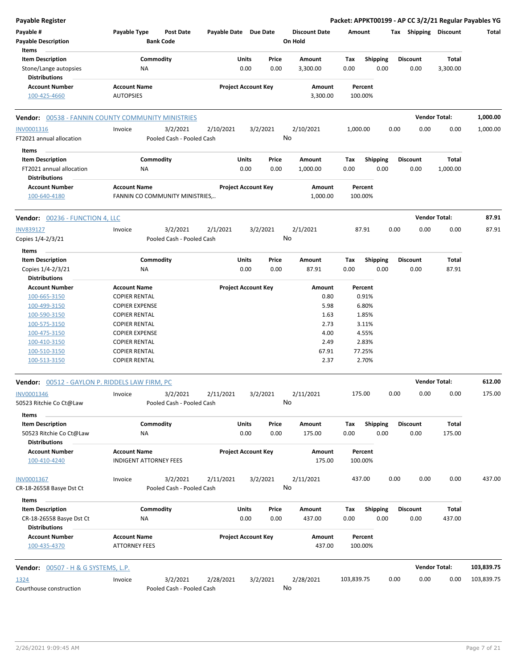| <b>Payable Register</b>                                   |                                  |                       |                            |                      | Packet: APPKT00199 - AP CC 3/2/21 Regular Payables YG |      |                       |                      |            |
|-----------------------------------------------------------|----------------------------------|-----------------------|----------------------------|----------------------|-------------------------------------------------------|------|-----------------------|----------------------|------------|
| Payable #                                                 | Payable Type<br><b>Post Date</b> | Payable Date Due Date |                            | <b>Discount Date</b> | Amount                                                |      | Tax Shipping Discount |                      | Total      |
| <b>Payable Description</b>                                | <b>Bank Code</b>                 |                       |                            | On Hold              |                                                       |      |                       |                      |            |
| Items                                                     |                                  |                       |                            |                      |                                                       |      |                       |                      |            |
| <b>Item Description</b>                                   | Commodity                        |                       | Units<br>Price             | Amount               | Shipping<br>Tax                                       |      | <b>Discount</b>       | Total                |            |
| Stone/Lange autopsies<br><b>Distributions</b>             | <b>NA</b>                        |                       | 0.00<br>0.00               | 3,300.00             | 0.00                                                  | 0.00 | 0.00                  | 3,300.00             |            |
| <b>Account Number</b>                                     | <b>Account Name</b>              |                       | <b>Project Account Key</b> | Amount               | Percent                                               |      |                       |                      |            |
| 100-425-4660                                              | <b>AUTOPSIES</b>                 |                       |                            | 3,300.00             | 100.00%                                               |      |                       |                      |            |
| <b>Vendor: 00538 - FANNIN COUNTY COMMUNITY MINISTRIES</b> |                                  |                       |                            |                      |                                                       |      |                       | <b>Vendor Total:</b> | 1,000.00   |
| INV0001316                                                | Invoice<br>3/2/2021              | 2/10/2021             | 3/2/2021                   | 2/10/2021            | 1,000.00                                              | 0.00 | 0.00                  | 0.00                 | 1,000.00   |
| FT2021 annual allocation                                  | Pooled Cash - Pooled Cash        |                       |                            | No                   |                                                       |      |                       |                      |            |
| Items                                                     |                                  |                       |                            |                      |                                                       |      |                       |                      |            |
| <b>Item Description</b>                                   | Commodity                        |                       | Units<br>Price             | Amount               | Tax<br><b>Shipping</b>                                |      | <b>Discount</b>       | <b>Total</b>         |            |
| FT2021 annual allocation                                  | ΝA                               |                       | 0.00<br>0.00               | 1,000.00             | 0.00                                                  | 0.00 | 0.00                  | 1,000.00             |            |
| <b>Distributions</b>                                      |                                  |                       |                            |                      |                                                       |      |                       |                      |            |
| <b>Account Number</b>                                     | <b>Account Name</b>              |                       | <b>Project Account Key</b> | Amount               | Percent                                               |      |                       |                      |            |
| 100-640-4180                                              | FANNIN CO COMMUNITY MINISTRIES,  |                       |                            | 1,000.00             | 100.00%                                               |      |                       |                      |            |
|                                                           |                                  |                       |                            |                      |                                                       |      |                       |                      |            |
| <b>Vendor: 00236 - FUNCTION 4, LLC</b>                    |                                  |                       |                            |                      |                                                       |      |                       | <b>Vendor Total:</b> | 87.91      |
| <b>INV839127</b>                                          | 3/2/2021<br>Invoice              | 2/1/2021              | 3/2/2021                   | 2/1/2021             | 87.91                                                 | 0.00 | 0.00                  | 0.00                 | 87.91      |
| Copies 1/4-2/3/21                                         | Pooled Cash - Pooled Cash        |                       |                            | No                   |                                                       |      |                       |                      |            |
|                                                           |                                  |                       |                            |                      |                                                       |      |                       |                      |            |
| Items                                                     |                                  |                       |                            |                      |                                                       |      |                       |                      |            |
| <b>Item Description</b>                                   | Commodity                        |                       | Units<br>Price             | Amount               | Tax<br><b>Shipping</b>                                |      | <b>Discount</b>       | Total                |            |
| Copies 1/4-2/3/21                                         | ΝA                               |                       | 0.00<br>0.00               | 87.91                | 0.00                                                  | 0.00 | 0.00                  | 87.91                |            |
| <b>Distributions</b>                                      |                                  |                       |                            |                      |                                                       |      |                       |                      |            |
| <b>Account Number</b>                                     | <b>Account Name</b>              |                       | <b>Project Account Key</b> | Amount               | Percent                                               |      |                       |                      |            |
| 100-665-3150                                              | <b>COPIER RENTAL</b>             |                       |                            | 0.80                 | 0.91%                                                 |      |                       |                      |            |
| 100-499-3150                                              | <b>COPIER EXPENSE</b>            |                       |                            | 5.98                 | 6.80%                                                 |      |                       |                      |            |
| 100-590-3150                                              | <b>COPIER RENTAL</b>             |                       |                            | 1.63                 | 1.85%                                                 |      |                       |                      |            |
| 100-575-3150                                              | <b>COPIER RENTAL</b>             |                       |                            | 2.73                 | 3.11%                                                 |      |                       |                      |            |
| 100-475-3150                                              | <b>COPIER EXPENSE</b>            |                       |                            | 4.00                 | 4.55%                                                 |      |                       |                      |            |
| 100-410-3150                                              | <b>COPIER RENTAL</b>             |                       |                            | 2.49                 | 2.83%                                                 |      |                       |                      |            |
| 100-510-3150                                              | <b>COPIER RENTAL</b>             |                       |                            | 67.91                | 77.25%                                                |      |                       |                      |            |
| 100-513-3150                                              | <b>COPIER RENTAL</b>             |                       |                            | 2.37                 | 2.70%                                                 |      |                       |                      |            |
| <b>Vendor:</b> 00512 - GAYLON P. RIDDELS LAW FIRM, PC     |                                  |                       |                            |                      |                                                       |      |                       | <b>Vendor Total:</b> | 612.00     |
| INV0001346                                                | 3/2/2021<br>Invoice              | 2/11/2021             | 3/2/2021                   | 2/11/2021            | 175.00                                                | 0.00 | 0.00                  | 0.00                 | 175.00     |
| 50523 Ritchie Co Ct@Law                                   | Pooled Cash - Pooled Cash        |                       |                            | No                   |                                                       |      |                       |                      |            |
| Items                                                     |                                  |                       |                            |                      |                                                       |      |                       |                      |            |
| <b>Item Description</b>                                   | Commodity                        |                       | Units<br>Price             | Amount               | <b>Shipping</b><br>Tax                                |      | <b>Discount</b>       | Total                |            |
| 50523 Ritchie Co Ct@Law                                   | NA                               |                       | 0.00<br>0.00               | 175.00               | 0.00                                                  | 0.00 | 0.00                  | 175.00               |            |
| <b>Distributions</b>                                      |                                  |                       |                            |                      |                                                       |      |                       |                      |            |
| <b>Account Number</b>                                     | <b>Account Name</b>              |                       | <b>Project Account Key</b> | Amount               | Percent                                               |      |                       |                      |            |
| 100-410-4240                                              | <b>INDIGENT ATTORNEY FEES</b>    |                       |                            | 175.00               | 100.00%                                               |      |                       |                      |            |
|                                                           |                                  |                       |                            |                      |                                                       |      |                       |                      |            |
| INV0001367                                                | 3/2/2021<br>Invoice              | 2/11/2021             | 3/2/2021                   | 2/11/2021            | 437.00                                                | 0.00 | 0.00                  | 0.00                 | 437.00     |
| CR-18-26558 Basye Dst Ct                                  | Pooled Cash - Pooled Cash        |                       |                            | No                   |                                                       |      |                       |                      |            |
| Items                                                     |                                  |                       |                            |                      |                                                       |      |                       |                      |            |
| <b>Item Description</b>                                   | Commodity                        |                       | Units<br>Price             | Amount               | <b>Shipping</b><br>Tax                                |      | <b>Discount</b>       | Total                |            |
| CR-18-26558 Basye Dst Ct                                  | ΝA                               |                       | 0.00<br>0.00               | 437.00               | 0.00                                                  | 0.00 | 0.00                  | 437.00               |            |
| <b>Distributions</b>                                      |                                  |                       |                            |                      |                                                       |      |                       |                      |            |
| <b>Account Number</b>                                     | <b>Account Name</b>              |                       | <b>Project Account Key</b> | Amount               | Percent                                               |      |                       |                      |            |
| 100-435-4370                                              | <b>ATTORNEY FEES</b>             |                       |                            | 437.00               | 100.00%                                               |      |                       |                      |            |
| <b>Vendor:</b> 00507 - H & G SYSTEMS, L.P.                |                                  |                       |                            |                      |                                                       |      |                       | <b>Vendor Total:</b> | 103,839.75 |
|                                                           |                                  |                       |                            |                      |                                                       |      |                       |                      |            |
| 1324                                                      | 3/2/2021<br>Invoice              | 2/28/2021             | 3/2/2021                   | 2/28/2021            | 103,839.75                                            | 0.00 | 0.00                  | 0.00                 | 103,839.75 |
| Courthouse construction                                   | Pooled Cash - Pooled Cash        |                       |                            | No                   |                                                       |      |                       |                      |            |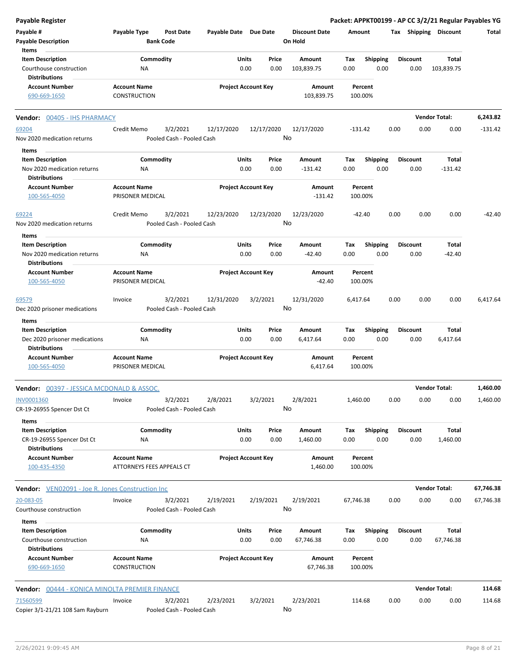| Payable Register                                        |                                         |                                      |                       |                            |               |                                 |             |                         |      |                         |                            | Packet: APPKT00199 - AP CC 3/2/21 Regular Payables YG |
|---------------------------------------------------------|-----------------------------------------|--------------------------------------|-----------------------|----------------------------|---------------|---------------------------------|-------------|-------------------------|------|-------------------------|----------------------------|-------------------------------------------------------|
| Payable #<br><b>Payable Description</b>                 | Payable Type                            | <b>Post Date</b><br><b>Bank Code</b> | Payable Date Due Date |                            |               | <b>Discount Date</b><br>On Hold | Amount      |                         |      |                         | Tax Shipping Discount      | Total                                                 |
| Items                                                   |                                         |                                      |                       |                            |               |                                 |             |                         |      |                         |                            |                                                       |
| <b>Item Description</b><br>Courthouse construction      | Commodity<br>ΝA                         |                                      |                       | Units<br>0.00              | Price<br>0.00 | Amount<br>103,839.75            | Tax<br>0.00 | <b>Shipping</b><br>0.00 |      | <b>Discount</b><br>0.00 | <b>Total</b><br>103,839.75 |                                                       |
| <b>Distributions</b>                                    |                                         |                                      |                       |                            |               |                                 |             |                         |      |                         |                            |                                                       |
| <b>Account Number</b>                                   | <b>Account Name</b>                     |                                      |                       | <b>Project Account Key</b> |               | Amount                          |             | Percent                 |      |                         |                            |                                                       |
| 690-669-1650                                            | CONSTRUCTION                            |                                      |                       |                            |               | 103,839.75                      |             | 100.00%                 |      |                         |                            |                                                       |
| Vendor: 00405 - IHS PHARMACY                            |                                         |                                      |                       |                            |               |                                 |             |                         |      |                         | <b>Vendor Total:</b>       | 6,243.82                                              |
| 69204                                                   | Credit Memo                             | 3/2/2021                             | 12/17/2020            |                            | 12/17/2020    | 12/17/2020                      | $-131.42$   |                         | 0.00 | 0.00                    | 0.00                       | $-131.42$                                             |
| Nov 2020 medication returns                             |                                         | Pooled Cash - Pooled Cash            |                       |                            |               | No                              |             |                         |      |                         |                            |                                                       |
| Items                                                   |                                         |                                      |                       |                            |               |                                 |             |                         |      |                         |                            |                                                       |
| <b>Item Description</b>                                 | Commodity                               |                                      |                       | Units                      | Price         | Amount                          | Tax         | <b>Shipping</b>         |      | <b>Discount</b>         | Total                      |                                                       |
| Nov 2020 medication returns<br><b>Distributions</b>     | ΝA                                      |                                      |                       | 0.00                       | 0.00          | $-131.42$                       | 0.00        | 0.00                    |      | 0.00                    | $-131.42$                  |                                                       |
| <b>Account Number</b>                                   | <b>Account Name</b>                     |                                      |                       | <b>Project Account Key</b> |               | Amount                          |             | Percent                 |      |                         |                            |                                                       |
| 100-565-4050                                            | PRISONER MEDICAL                        |                                      |                       |                            |               | $-131.42$                       |             | 100.00%                 |      |                         |                            |                                                       |
| 69224                                                   | Credit Memo                             | 3/2/2021                             | 12/23/2020            |                            | 12/23/2020    | 12/23/2020                      |             | $-42.40$                | 0.00 | 0.00                    | 0.00                       | $-42.40$                                              |
| Nov 2020 medication returns                             |                                         | Pooled Cash - Pooled Cash            |                       |                            |               | No                              |             |                         |      |                         |                            |                                                       |
| Items                                                   |                                         |                                      |                       |                            |               | Amount                          |             |                         |      | <b>Discount</b>         |                            |                                                       |
| <b>Item Description</b><br>Nov 2020 medication returns  | Commodity                               |                                      |                       | Units<br>0.00              | Price<br>0.00 | $-42.40$                        | Tax<br>0.00 | <b>Shipping</b><br>0.00 |      | 0.00                    | Total<br>$-42.40$          |                                                       |
| <b>Distributions</b>                                    | ΝA                                      |                                      |                       |                            |               |                                 |             |                         |      |                         |                            |                                                       |
| <b>Account Number</b>                                   | <b>Account Name</b>                     |                                      |                       | <b>Project Account Key</b> |               | Amount                          |             | Percent                 |      |                         |                            |                                                       |
| 100-565-4050                                            | PRISONER MEDICAL                        |                                      |                       |                            |               | $-42.40$                        |             | 100.00%                 |      |                         |                            |                                                       |
| 69579                                                   | Invoice                                 | 3/2/2021                             | 12/31/2020            | 3/2/2021                   |               | 12/31/2020                      | 6,417.64    |                         | 0.00 | 0.00                    | 0.00                       | 6,417.64                                              |
| Dec 2020 prisoner medications                           |                                         | Pooled Cash - Pooled Cash            |                       |                            |               | No                              |             |                         |      |                         |                            |                                                       |
| Items<br><b>Item Description</b>                        | Commodity                               |                                      |                       | Units                      | Price         | Amount                          | Tax         | <b>Shipping</b>         |      | <b>Discount</b>         | Total                      |                                                       |
| Dec 2020 prisoner medications<br><b>Distributions</b>   | ΝA                                      |                                      |                       | 0.00                       | 0.00          | 6,417.64                        | 0.00        | 0.00                    |      | 0.00                    | 6,417.64                   |                                                       |
| <b>Account Number</b><br>100-565-4050                   | <b>Account Name</b><br>PRISONER MEDICAL |                                      |                       | <b>Project Account Key</b> |               | Amount<br>6,417.64              |             | Percent<br>100.00%      |      |                         |                            |                                                       |
| <b>Vendor:</b> 00397 - JESSICA MCDONALD & ASSOC.        |                                         |                                      |                       |                            |               |                                 |             |                         |      |                         | <b>Vendor Total:</b>       | 1,460.00                                              |
| <b>INV0001360</b>                                       | Invoice                                 | 3/2/2021                             | 2/8/2021              | 3/2/2021                   |               | 2/8/2021                        | 1,460.00    |                         | 0.00 | 0.00                    | 0.00                       | 1,460.00                                              |
| CR-19-26955 Spencer Dst Ct<br>Items                     |                                         | Pooled Cash - Pooled Cash            |                       |                            |               | No                              |             |                         |      |                         |                            |                                                       |
| <b>Item Description</b>                                 | Commodity                               |                                      |                       | Units                      | Price         | Amount                          | Tax         | <b>Shipping</b>         |      | <b>Discount</b>         | Total                      |                                                       |
| CR-19-26955 Spencer Dst Ct<br><b>Distributions</b>      | ΝA                                      |                                      |                       | 0.00                       | 0.00          | 1,460.00                        | 0.00        | 0.00                    |      | 0.00                    | 1,460.00                   |                                                       |
| <b>Account Number</b>                                   | <b>Account Name</b>                     |                                      |                       | <b>Project Account Key</b> |               | Amount                          |             | Percent                 |      |                         |                            |                                                       |
| 100-435-4350                                            | ATTORNEYS FEES APPEALS CT               |                                      |                       |                            |               | 1,460.00                        |             | 100.00%                 |      |                         |                            |                                                       |
| <b>Vendor:</b> VEN02091 - Joe R. Jones Construction Inc |                                         |                                      |                       |                            |               |                                 |             |                         |      |                         | <b>Vendor Total:</b>       | 67,746.38                                             |
| 20-083-05                                               | Invoice                                 | 3/2/2021                             | 2/19/2021             | 2/19/2021                  |               | 2/19/2021                       | 67,746.38   |                         | 0.00 | 0.00                    | 0.00                       | 67,746.38                                             |
| Courthouse construction                                 |                                         | Pooled Cash - Pooled Cash            |                       |                            |               | No                              |             |                         |      |                         |                            |                                                       |
| Items                                                   |                                         |                                      |                       |                            |               |                                 |             |                         |      |                         |                            |                                                       |
| <b>Item Description</b><br>Courthouse construction      | Commodity<br>ΝA                         |                                      |                       | Units<br>0.00              | Price<br>0.00 | Amount<br>67,746.38             | Тах<br>0.00 | Shipping<br>0.00        |      | Discount<br>0.00        | Total<br>67,746.38         |                                                       |
| <b>Distributions</b><br><b>Account Number</b>           | <b>Account Name</b>                     |                                      |                       | <b>Project Account Key</b> |               | Amount                          |             | Percent                 |      |                         |                            |                                                       |
| 690-669-1650                                            | CONSTRUCTION                            |                                      |                       |                            |               | 67,746.38                       |             | 100.00%                 |      |                         |                            |                                                       |
| Vendor: 00444 - KONICA MINOLTA PREMIER FINANCE          |                                         |                                      |                       |                            |               |                                 |             |                         |      |                         | <b>Vendor Total:</b>       | 114.68                                                |
| 71560599                                                | Invoice                                 | 3/2/2021                             | 2/23/2021             | 3/2/2021                   |               | 2/23/2021                       |             | 114.68                  | 0.00 | 0.00                    | 0.00                       | 114.68                                                |
| Copier 3/1-21/21 108 Sam Rayburn                        |                                         | Pooled Cash - Pooled Cash            |                       |                            |               | No                              |             |                         |      |                         |                            |                                                       |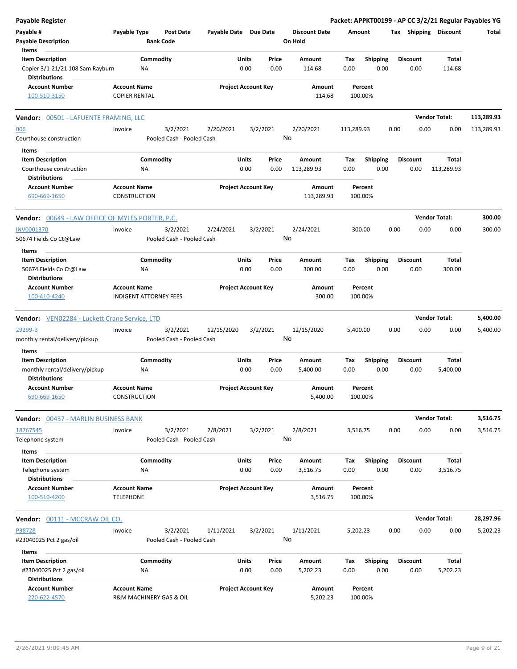| <b>Payable Register</b>                                                             |                                                |                                       |                       |                            |                                 |             |                         |      |                         |                       | Packet: APPKT00199 - AP CC 3/2/21 Regular Payables YG |
|-------------------------------------------------------------------------------------|------------------------------------------------|---------------------------------------|-----------------------|----------------------------|---------------------------------|-------------|-------------------------|------|-------------------------|-----------------------|-------------------------------------------------------|
| Payable #<br><b>Payable Description</b>                                             | Payable Type                                   | <b>Post Date</b><br><b>Bank Code</b>  | Payable Date Due Date |                            | <b>Discount Date</b><br>On Hold | Amount      |                         |      |                         | Tax Shipping Discount | Total                                                 |
| Items                                                                               |                                                |                                       |                       |                            |                                 |             |                         |      |                         |                       |                                                       |
| <b>Item Description</b><br>Copier 3/1-21/21 108 Sam Rayburn<br><b>Distributions</b> | Commodity<br>NA                                |                                       | Units                 | Price<br>0.00<br>0.00      | Amount<br>114.68                | Tax<br>0.00 | <b>Shipping</b><br>0.00 |      | <b>Discount</b><br>0.00 | Total<br>114.68       |                                                       |
| <b>Account Number</b>                                                               | <b>Account Name</b>                            |                                       |                       | <b>Project Account Key</b> | Amount                          |             | Percent                 |      |                         |                       |                                                       |
| 100-510-3150                                                                        | <b>COPIER RENTAL</b>                           |                                       |                       |                            | 114.68                          | 100.00%     |                         |      |                         |                       |                                                       |
| <b>Vendor: 00501 - LAFUENTE FRAMING, LLC</b>                                        |                                                |                                       |                       |                            |                                 |             |                         |      |                         | <b>Vendor Total:</b>  | 113,289.93                                            |
| 006                                                                                 | Invoice                                        | 3/2/2021                              | 2/20/2021             | 3/2/2021                   | 2/20/2021                       | 113,289.93  |                         | 0.00 | 0.00                    | 0.00                  | 113,289.93                                            |
| Courthouse construction                                                             |                                                | Pooled Cash - Pooled Cash             |                       |                            | No                              |             |                         |      |                         |                       |                                                       |
| Items                                                                               |                                                |                                       |                       |                            |                                 |             |                         |      |                         |                       |                                                       |
| <b>Item Description</b>                                                             | Commodity                                      |                                       | Units                 | Price                      | Amount                          | Tax         | Shipping                |      | <b>Discount</b>         | Total                 |                                                       |
| Courthouse construction                                                             | <b>NA</b>                                      |                                       |                       | 0.00<br>0.00               | 113,289.93                      | 0.00        | 0.00                    |      | 0.00                    | 113,289.93            |                                                       |
| <b>Distributions</b>                                                                |                                                |                                       |                       |                            |                                 |             |                         |      |                         |                       |                                                       |
| <b>Account Number</b><br>690-669-1650                                               | <b>Account Name</b><br><b>CONSTRUCTION</b>     |                                       |                       | <b>Project Account Key</b> | Amount<br>113,289.93            | 100.00%     | Percent                 |      |                         |                       |                                                       |
| <b>Vendor: 00649 - LAW OFFICE OF MYLES PORTER, P.C.</b>                             |                                                |                                       |                       |                            |                                 |             |                         |      |                         | <b>Vendor Total:</b>  | 300.00                                                |
| <b>INV0001370</b>                                                                   | Invoice                                        | 3/2/2021                              | 2/24/2021             | 3/2/2021                   | 2/24/2021                       | 300.00      |                         | 0.00 | 0.00                    | 0.00                  | 300.00                                                |
| 50674 Fields Co Ct@Law                                                              |                                                | Pooled Cash - Pooled Cash             |                       |                            | No                              |             |                         |      |                         |                       |                                                       |
| Items                                                                               |                                                |                                       |                       |                            |                                 |             |                         |      |                         |                       |                                                       |
| <b>Item Description</b>                                                             | Commodity                                      |                                       | Units                 | Price                      | Amount                          | Тах         | Shipping                |      | <b>Discount</b>         | <b>Total</b>          |                                                       |
| 50674 Fields Co Ct@Law<br><b>Distributions</b>                                      | ΝA                                             |                                       |                       | 0.00<br>0.00               | 300.00                          | 0.00        | 0.00                    |      | 0.00                    | 300.00                |                                                       |
| <b>Account Number</b>                                                               | <b>Account Name</b>                            |                                       |                       | <b>Project Account Key</b> | Amount                          |             | Percent                 |      |                         |                       |                                                       |
| 100-410-4240                                                                        | <b>INDIGENT ATTORNEY FEES</b>                  |                                       |                       |                            | 300.00                          | 100.00%     |                         |      |                         |                       |                                                       |
| <b>Vendor:</b> VEN02284 - Luckett Crane Service, LTD                                |                                                |                                       |                       |                            |                                 |             |                         |      |                         | <b>Vendor Total:</b>  | 5,400.00                                              |
| 29299-B                                                                             | Invoice                                        | 3/2/2021                              | 12/15/2020            | 3/2/2021                   | 12/15/2020                      | 5,400.00    |                         | 0.00 | 0.00                    | 0.00                  | 5,400.00                                              |
| monthly rental/delivery/pickup                                                      |                                                | Pooled Cash - Pooled Cash             |                       |                            | No                              |             |                         |      |                         |                       |                                                       |
| Items                                                                               |                                                |                                       |                       |                            |                                 |             |                         |      |                         |                       |                                                       |
| <b>Item Description</b><br>monthly rental/delivery/pickup                           | Commodity<br><b>NA</b>                         |                                       | Units                 | Price<br>0.00<br>0.00      | <b>Amount</b><br>5,400.00       | Tax<br>0.00 | <b>Shipping</b><br>0.00 |      | <b>Discount</b><br>0.00 | Total<br>5,400.00     |                                                       |
| <b>Distributions</b><br><b>Account Number</b><br>690-669-1650                       | Account Name<br>CONSTRUCTION                   |                                       |                       | <b>Project Account Key</b> | Amount<br>5,400.00              | 100.00%     | Percent                 |      |                         |                       |                                                       |
|                                                                                     |                                                |                                       |                       |                            |                                 |             |                         |      |                         |                       |                                                       |
| <b>Vendor: 00437 - MARLIN BUSINESS BANK</b>                                         |                                                |                                       |                       |                            |                                 |             |                         |      |                         | <b>Vendor Total:</b>  | 3,516.75                                              |
| 18767545<br>Telephone system                                                        | Invoice                                        | 3/2/2021<br>Pooled Cash - Pooled Cash | 2/8/2021              | 3/2/2021                   | 2/8/2021<br>No                  | 3,516.75    |                         | 0.00 | 0.00                    | 0.00                  | 3,516.75                                              |
| Items                                                                               |                                                |                                       |                       |                            |                                 |             |                         |      |                         |                       |                                                       |
| <b>Item Description</b><br>Telephone system                                         | Commodity<br><b>NA</b>                         |                                       | Units                 | Price<br>0.00<br>0.00      | Amount<br>3,516.75              | Tax<br>0.00 | <b>Shipping</b><br>0.00 |      | <b>Discount</b><br>0.00 | Total<br>3,516.75     |                                                       |
| <b>Distributions</b><br><b>Account Number</b>                                       | <b>Account Name</b>                            |                                       |                       | <b>Project Account Key</b> | Amount                          |             | Percent                 |      |                         |                       |                                                       |
| 100-510-4200                                                                        | <b>TELEPHONE</b>                               |                                       |                       |                            | 3,516.75                        | 100.00%     |                         |      |                         |                       |                                                       |
| Vendor: 00111 - MCCRAW OIL CO.                                                      |                                                |                                       |                       |                            |                                 |             |                         |      |                         | <b>Vendor Total:</b>  | 28,297.96                                             |
| P38728                                                                              | Invoice                                        | 3/2/2021                              | 1/11/2021             | 3/2/2021                   | 1/11/2021                       | 5,202.23    |                         | 0.00 | 0.00                    | 0.00                  | 5,202.23                                              |
| #23040025 Pct 2 gas/oil                                                             |                                                | Pooled Cash - Pooled Cash             |                       |                            | No                              |             |                         |      |                         |                       |                                                       |
| Items<br><b>Item Description</b>                                                    | Commodity                                      |                                       | Units                 | Price                      | Amount                          | Tax         | <b>Shipping</b>         |      | Discount                | Total                 |                                                       |
| #23040025 Pct 2 gas/oil<br><b>Distributions</b>                                     | <b>NA</b>                                      |                                       |                       | 0.00<br>0.00               | 5,202.23                        | 0.00        | 0.00                    |      | 0.00                    | 5,202.23              |                                                       |
| <b>Account Number</b><br>220-622-4570                                               | <b>Account Name</b><br>R&M MACHINERY GAS & OIL |                                       |                       | <b>Project Account Key</b> | Amount<br>5,202.23              | 100.00%     | Percent                 |      |                         |                       |                                                       |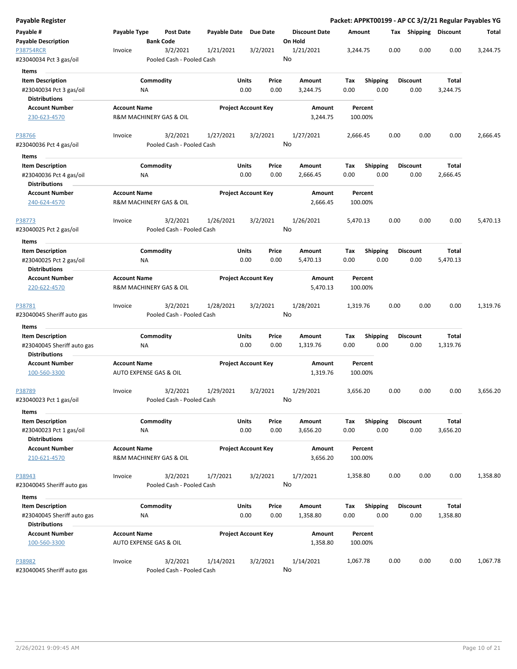| Payable Register                                |                     |                                       |              |                            |                                 |                    |                 |      |                       |          | Packet: APPKT00199 - AP CC 3/2/21 Regular Payables YG |
|-------------------------------------------------|---------------------|---------------------------------------|--------------|----------------------------|---------------------------------|--------------------|-----------------|------|-----------------------|----------|-------------------------------------------------------|
| Payable #<br><b>Payable Description</b>         | Payable Type        | <b>Post Date</b><br><b>Bank Code</b>  | Payable Date | <b>Due Date</b>            | <b>Discount Date</b><br>On Hold | Amount             |                 |      | Tax Shipping Discount |          | Total                                                 |
| <b>P38754RCR</b><br>#23040034 Pct 3 gas/oil     | Invoice             | 3/2/2021<br>Pooled Cash - Pooled Cash | 1/21/2021    | 3/2/2021                   | 1/21/2021<br>No                 | 3,244.75           |                 | 0.00 | 0.00                  | 0.00     | 3,244.75                                              |
| Items                                           |                     |                                       |              |                            |                                 |                    |                 |      |                       |          |                                                       |
| <b>Item Description</b>                         |                     | Commodity                             |              | Units<br>Price             | Amount                          | Tax                | <b>Shipping</b> |      | <b>Discount</b>       | Total    |                                                       |
| #23040034 Pct 3 gas/oil                         |                     | ΝA                                    |              | 0.00<br>0.00               | 3,244.75                        | 0.00               | 0.00            |      | 0.00                  | 3,244.75 |                                                       |
| <b>Distributions</b>                            |                     |                                       |              |                            |                                 |                    |                 |      |                       |          |                                                       |
| <b>Account Number</b>                           | <b>Account Name</b> |                                       |              | <b>Project Account Key</b> | Amount                          | Percent            |                 |      |                       |          |                                                       |
| 230-623-4570                                    |                     | R&M MACHINERY GAS & OIL               |              |                            | 3,244.75                        | 100.00%            |                 |      |                       |          |                                                       |
| <u>P38766</u>                                   | Invoice             | 3/2/2021                              | 1/27/2021    | 3/2/2021                   | 1/27/2021                       | 2,666.45           |                 | 0.00 | 0.00                  | 0.00     | 2,666.45                                              |
| #23040036 Pct 4 gas/oil                         |                     | Pooled Cash - Pooled Cash             |              |                            | No                              |                    |                 |      |                       |          |                                                       |
| Items                                           |                     |                                       |              |                            |                                 |                    |                 |      |                       |          |                                                       |
| <b>Item Description</b>                         |                     | Commodity                             |              | Units<br>Price             | Amount                          | Tax                | <b>Shipping</b> |      | Discount              | Total    |                                                       |
| #23040036 Pct 4 gas/oil<br><b>Distributions</b> |                     | ΝA                                    |              | 0.00<br>0.00               | 2,666.45                        | 0.00               | 0.00            |      | 0.00                  | 2,666.45 |                                                       |
| <b>Account Number</b><br>240-624-4570           | <b>Account Name</b> | R&M MACHINERY GAS & OIL               |              | <b>Project Account Key</b> | Amount<br>2,666.45              | Percent<br>100.00% |                 |      |                       |          |                                                       |
| P38773                                          | Invoice             | 3/2/2021                              | 1/26/2021    | 3/2/2021                   | 1/26/2021                       | 5,470.13           |                 | 0.00 | 0.00                  | 0.00     | 5,470.13                                              |
| #23040025 Pct 2 gas/oil                         |                     | Pooled Cash - Pooled Cash             |              |                            | No                              |                    |                 |      |                       |          |                                                       |
| Items                                           |                     |                                       |              |                            |                                 |                    |                 |      |                       |          |                                                       |
| <b>Item Description</b>                         |                     | Commodity                             |              | Units<br>Price             | Amount                          | Tax                | <b>Shipping</b> |      | <b>Discount</b>       | Total    |                                                       |
| #23040025 Pct 2 gas/oil                         |                     | NA                                    |              | 0.00<br>0.00               | 5,470.13                        | 0.00               | 0.00            |      | 0.00                  | 5,470.13 |                                                       |
| <b>Distributions</b>                            |                     |                                       |              |                            |                                 |                    |                 |      |                       |          |                                                       |
| <b>Account Number</b>                           | <b>Account Name</b> |                                       |              | <b>Project Account Key</b> | Amount                          | Percent            |                 |      |                       |          |                                                       |
| 220-622-4570                                    |                     | R&M MACHINERY GAS & OIL               |              |                            | 5,470.13                        | 100.00%            |                 |      |                       |          |                                                       |
| P38781                                          | Invoice             | 3/2/2021                              | 1/28/2021    | 3/2/2021                   | 1/28/2021                       | 1,319.76           |                 | 0.00 | 0.00                  | 0.00     | 1,319.76                                              |
| #23040045 Sheriff auto gas                      |                     | Pooled Cash - Pooled Cash             |              |                            | No                              |                    |                 |      |                       |          |                                                       |
| Items                                           |                     |                                       |              |                            |                                 |                    |                 |      |                       |          |                                                       |
| <b>Item Description</b>                         |                     | Commodity                             |              | Units<br>Price             | Amount                          | Tax                | <b>Shipping</b> |      | Discount              | Total    |                                                       |
| #23040045 Sheriff auto gas                      |                     | ΝA                                    |              | 0.00<br>0.00               | 1,319.76                        | 0.00               | 0.00            |      | 0.00                  | 1,319.76 |                                                       |
| <b>Distributions</b>                            |                     |                                       |              |                            |                                 |                    |                 |      |                       |          |                                                       |
| <b>Account Number</b><br>100-560-3300           | <b>Account Name</b> | AUTO EXPENSE GAS & OIL                |              | <b>Project Account Key</b> | Amount<br>1,319.76              | Percent<br>100.00% |                 |      |                       |          |                                                       |
|                                                 |                     |                                       |              |                            |                                 |                    |                 |      |                       |          |                                                       |
| P38789                                          | Invoice             | 3/2/2021                              | 1/29/2021    | 3/2/2021                   | 1/29/2021                       | 3,656.20           |                 | 0.00 | 0.00                  | 0.00     | 3,656.20                                              |
| #23040023 Pct 1 gas/oil<br>Items                |                     | Pooled Cash - Pooled Cash             |              |                            | No                              |                    |                 |      |                       |          |                                                       |
| <b>Item Description</b>                         |                     | Commodity                             |              | Units<br>Price             | Amount                          | Tax                | <b>Shipping</b> |      | <b>Discount</b>       | Total    |                                                       |
| #23040023 Pct 1 gas/oil                         |                     | ΝA                                    |              | 0.00<br>0.00               | 3,656.20                        | 0.00               | 0.00            |      | 0.00                  | 3,656.20 |                                                       |
| <b>Distributions</b>                            |                     |                                       |              |                            |                                 |                    |                 |      |                       |          |                                                       |
| <b>Account Number</b>                           | <b>Account Name</b> |                                       |              | <b>Project Account Key</b> | Amount                          | Percent            |                 |      |                       |          |                                                       |
| 210-621-4570                                    |                     | R&M MACHINERY GAS & OIL               |              |                            | 3,656.20                        | 100.00%            |                 |      |                       |          |                                                       |
| P38943                                          | Invoice             | 3/2/2021                              | 1/7/2021     | 3/2/2021                   | 1/7/2021                        | 1,358.80           |                 | 0.00 | 0.00                  | 0.00     | 1,358.80                                              |
| #23040045 Sheriff auto gas                      |                     | Pooled Cash - Pooled Cash             |              |                            | No                              |                    |                 |      |                       |          |                                                       |
| Items                                           |                     |                                       |              |                            |                                 |                    |                 |      |                       |          |                                                       |
| <b>Item Description</b>                         |                     | Commodity                             |              | Units<br>Price             | Amount                          | Tax                | <b>Shipping</b> |      | <b>Discount</b>       | Total    |                                                       |
| #23040045 Sheriff auto gas                      |                     | ΝA                                    |              | 0.00<br>0.00               | 1,358.80                        | 0.00               | 0.00            |      | 0.00                  | 1,358.80 |                                                       |
| <b>Distributions</b>                            |                     |                                       |              |                            |                                 |                    |                 |      |                       |          |                                                       |
| <b>Account Number</b>                           | <b>Account Name</b> |                                       |              | <b>Project Account Key</b> | Amount                          | Percent            |                 |      |                       |          |                                                       |
| 100-560-3300                                    |                     | AUTO EXPENSE GAS & OIL                |              |                            | 1,358.80                        | 100.00%            |                 |      |                       |          |                                                       |
| P38982                                          | Invoice             | 3/2/2021                              | 1/14/2021    | 3/2/2021                   | 1/14/2021                       | 1,067.78           |                 | 0.00 | 0.00                  | 0.00     | 1,067.78                                              |
| #23040045 Sheriff auto gas                      |                     | Pooled Cash - Pooled Cash             |              |                            | No                              |                    |                 |      |                       |          |                                                       |
|                                                 |                     |                                       |              |                            |                                 |                    |                 |      |                       |          |                                                       |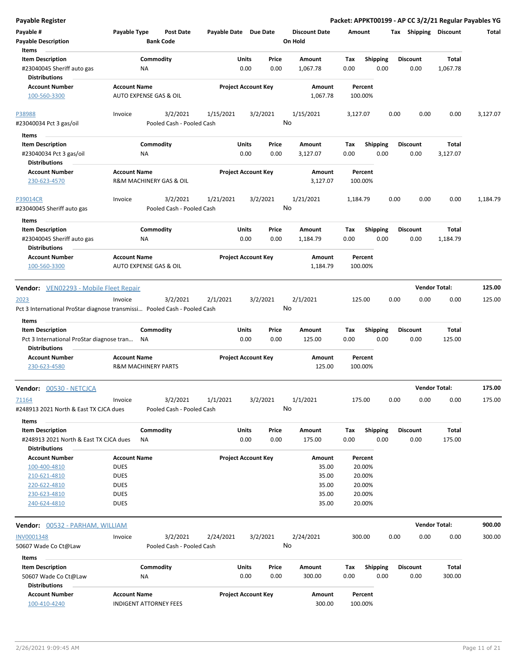| <b>Payable Register</b>                                                           |                     |                                       |                       |                            |               |                                 |                    |                         |      |                         | Packet: APPKT00199 - AP CC 3/2/21 Regular Payables YG |          |
|-----------------------------------------------------------------------------------|---------------------|---------------------------------------|-----------------------|----------------------------|---------------|---------------------------------|--------------------|-------------------------|------|-------------------------|-------------------------------------------------------|----------|
| Payable #<br><b>Payable Description</b>                                           | Payable Type        | Post Date<br><b>Bank Code</b>         | Payable Date Due Date |                            |               | <b>Discount Date</b><br>On Hold | Amount             |                         |      | Tax Shipping Discount   |                                                       | Total    |
| Items<br><b>Item Description</b><br>#23040045 Sheriff auto gas                    |                     | Commodity<br>ΝA                       |                       | Units<br>0.00              | Price<br>0.00 | Amount<br>1,067.78              | Tax<br>0.00        | Shipping<br>0.00        |      | <b>Discount</b><br>0.00 | Total<br>1,067.78                                     |          |
| <b>Distributions</b>                                                              |                     |                                       |                       |                            |               |                                 |                    |                         |      |                         |                                                       |          |
| <b>Account Number</b><br>100-560-3300                                             | <b>Account Name</b> | AUTO EXPENSE GAS & OIL                |                       | <b>Project Account Key</b> |               | Amount<br>1,067.78              | Percent<br>100.00% |                         |      |                         |                                                       |          |
| P38988<br>#23040034 Pct 3 gas/oil                                                 | Invoice             | 3/2/2021<br>Pooled Cash - Pooled Cash | 1/15/2021             |                            | 3/2/2021      | 1/15/2021<br>No                 | 3,127.07           |                         | 0.00 | 0.00                    | 0.00                                                  | 3,127.07 |
|                                                                                   |                     |                                       |                       |                            |               |                                 |                    |                         |      |                         |                                                       |          |
| Items                                                                             |                     |                                       |                       |                            |               |                                 |                    |                         |      |                         |                                                       |          |
| <b>Item Description</b><br>#23040034 Pct 3 gas/oil<br><b>Distributions</b>        |                     | Commodity<br>ΝA                       |                       | Units<br>0.00              | Price<br>0.00 | Amount<br>3,127.07              | Tax<br>0.00        | <b>Shipping</b><br>0.00 |      | Discount<br>0.00        | Total<br>3,127.07                                     |          |
| <b>Account Number</b>                                                             | <b>Account Name</b> |                                       |                       | <b>Project Account Key</b> |               | Amount                          | Percent            |                         |      |                         |                                                       |          |
| 230-623-4570                                                                      |                     | R&M MACHINERY GAS & OIL               |                       |                            |               | 3,127.07                        | 100.00%            |                         |      |                         |                                                       |          |
| <b>P39014CR</b><br>#23040045 Sheriff auto gas                                     | Invoice             | 3/2/2021<br>Pooled Cash - Pooled Cash | 1/21/2021             |                            | 3/2/2021      | 1/21/2021<br>No                 | 1,184.79           |                         | 0.00 | 0.00                    | 0.00                                                  | 1,184.79 |
| Items                                                                             |                     |                                       |                       |                            |               | Amount                          |                    |                         |      |                         | Total                                                 |          |
| <b>Item Description</b><br>#23040045 Sheriff auto gas<br><b>Distributions</b>     |                     | Commodity<br>NA                       |                       | Units<br>0.00              | Price<br>0.00 | 1,184.79                        | Tax<br>0.00        | <b>Shipping</b><br>0.00 |      | <b>Discount</b><br>0.00 | 1,184.79                                              |          |
| <b>Account Number</b><br>100-560-3300                                             | <b>Account Name</b> | AUTO EXPENSE GAS & OIL                |                       | <b>Project Account Key</b> |               | Amount<br>1,184.79              | Percent<br>100.00% |                         |      |                         |                                                       |          |
| <b>Vendor:</b> VEN02293 - Mobile Fleet Repair                                     |                     |                                       |                       |                            |               |                                 |                    |                         |      |                         | <b>Vendor Total:</b>                                  | 125.00   |
| 2023<br>Pct 3 International ProStar diagnose transmissi Pooled Cash - Pooled Cash | Invoice             | 3/2/2021                              | 2/1/2021              |                            | 3/2/2021      | 2/1/2021<br>No                  | 125.00             |                         | 0.00 | 0.00                    | 0.00                                                  | 125.00   |
| Items                                                                             |                     |                                       |                       |                            |               |                                 |                    |                         |      |                         |                                                       |          |
| <b>Item Description</b>                                                           |                     | Commodity                             |                       | Units                      | Price         | Amount                          | Tax                | <b>Shipping</b>         |      | <b>Discount</b>         | Total                                                 |          |
| Pct 3 International ProStar diagnose tran<br><b>Distributions</b>                 | <b>NA</b>           |                                       |                       | 0.00                       | 0.00          | 125.00                          | 0.00               | 0.00                    |      | 0.00                    | 125.00                                                |          |
| <b>Account Number</b>                                                             | <b>Account Name</b> |                                       |                       | <b>Project Account Key</b> |               | Amount                          | Percent            |                         |      |                         |                                                       |          |
| 230-623-4580                                                                      |                     | <b>R&amp;M MACHINERY PARTS</b>        |                       |                            |               | 125.00                          | 100.00%            |                         |      |                         |                                                       |          |
| Vendor: 00530 - NETCJCA                                                           |                     |                                       |                       |                            |               |                                 |                    |                         |      | <b>Vendor Total:</b>    |                                                       | 175.00   |
| 71164<br>#248913 2021 North & East TX CJCA dues                                   | Invoice             | 3/2/2021<br>Pooled Cash - Pooled Cash | 1/1/2021              |                            | 3/2/2021      | 1/1/2021<br>No                  | 175.00             |                         | 0.00 | 0.00                    | 0.00                                                  | 175.00   |
| Items                                                                             |                     |                                       |                       |                            |               |                                 |                    |                         |      |                         |                                                       |          |
| <b>Item Description</b>                                                           |                     | Commodity                             |                       | Units                      | Price         | Amount                          | Tax                | <b>Shipping</b>         |      | <b>Discount</b>         | Total                                                 |          |
| #248913 2021 North & East TX CJCA dues                                            |                     | ΝA                                    |                       | 0.00                       | 0.00          | 175.00                          | 0.00               | 0.00                    |      | 0.00                    | 175.00                                                |          |
| <b>Distributions</b>                                                              |                     |                                       |                       |                            |               |                                 |                    |                         |      |                         |                                                       |          |
| <b>Account Number</b>                                                             | <b>Account Name</b> |                                       |                       | <b>Project Account Key</b> |               | Amount                          | Percent            |                         |      |                         |                                                       |          |
| 100-400-4810                                                                      | <b>DUES</b>         |                                       |                       |                            |               | 35.00                           | 20.00%             |                         |      |                         |                                                       |          |
| 210-621-4810                                                                      | <b>DUES</b>         |                                       |                       |                            |               | 35.00                           | 20.00%             |                         |      |                         |                                                       |          |
| 220-622-4810                                                                      | <b>DUES</b>         |                                       |                       |                            |               | 35.00                           | 20.00%             |                         |      |                         |                                                       |          |
| 230-623-4810<br>240-624-4810                                                      | <b>DUES</b>         |                                       |                       |                            |               | 35.00                           | 20.00%             |                         |      |                         |                                                       |          |
|                                                                                   | <b>DUES</b>         |                                       |                       |                            |               | 35.00                           | 20.00%             |                         |      |                         |                                                       |          |
| <b>Vendor:</b> 00532 - PARHAM, WILLIAM                                            |                     |                                       |                       |                            |               |                                 |                    |                         |      |                         | <b>Vendor Total:</b>                                  | 900.00   |
| INV0001348                                                                        | Invoice             | 3/2/2021                              | 2/24/2021             |                            | 3/2/2021      | 2/24/2021                       | 300.00             |                         | 0.00 | 0.00                    | 0.00                                                  | 300.00   |
| 50607 Wade Co Ct@Law<br>Items                                                     |                     | Pooled Cash - Pooled Cash             |                       |                            |               | No                              |                    |                         |      |                         |                                                       |          |
| <b>Item Description</b>                                                           |                     | Commodity                             |                       | Units                      | Price         | Amount                          | Тах                | <b>Shipping</b>         |      | <b>Discount</b>         | Total                                                 |          |
| 50607 Wade Co Ct@Law<br><b>Distributions</b>                                      |                     | ΝA                                    |                       | 0.00                       | 0.00          | 300.00                          | 0.00               | 0.00                    |      | 0.00                    | 300.00                                                |          |
| <b>Account Number</b>                                                             | <b>Account Name</b> |                                       |                       | <b>Project Account Key</b> |               | Amount                          | Percent            |                         |      |                         |                                                       |          |
| 100-410-4240                                                                      |                     | INDIGENT ATTORNEY FEES                |                       |                            |               | 300.00                          | 100.00%            |                         |      |                         |                                                       |          |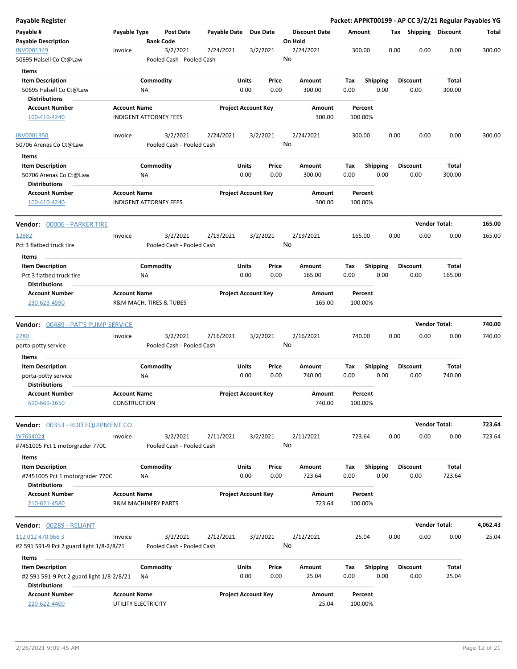| Payable Register                                                            |                                                      |                        |                                       |                       |                            |               |                                 |             |                         |      |                         | Packet: APPKT00199 - AP CC 3/2/21 Regular Payables YG |          |
|-----------------------------------------------------------------------------|------------------------------------------------------|------------------------|---------------------------------------|-----------------------|----------------------------|---------------|---------------------------------|-------------|-------------------------|------|-------------------------|-------------------------------------------------------|----------|
| Payable #<br><b>Payable Description</b>                                     | Payable Type                                         | <b>Bank Code</b>       | Post Date                             | Payable Date Due Date |                            |               | <b>Discount Date</b><br>On Hold | Amount      |                         |      | Tax Shipping Discount   |                                                       | Total    |
| INV0001349<br>50695 Halsell Co Ct@Law                                       | Invoice                                              |                        | 3/2/2021<br>Pooled Cash - Pooled Cash | 2/24/2021             | 3/2/2021                   |               | 2/24/2021<br>No                 | 300.00      |                         | 0.00 | 0.00                    | 0.00                                                  | 300.00   |
| Items                                                                       |                                                      |                        |                                       |                       |                            |               |                                 |             |                         |      |                         |                                                       |          |
| <b>Item Description</b><br>50695 Halsell Co Ct@Law<br><b>Distributions</b>  |                                                      | Commodity<br>ΝA        |                                       |                       | Units<br>0.00              | Price<br>0.00 | Amount<br>300.00                | Tax<br>0.00 | <b>Shipping</b><br>0.00 |      | <b>Discount</b><br>0.00 | Total<br>300.00                                       |          |
| <b>Account Number</b><br>100-410-4240                                       | <b>Account Name</b><br><b>INDIGENT ATTORNEY FEES</b> |                        |                                       |                       | <b>Project Account Key</b> |               | Amount<br>300.00                | 100.00%     | Percent                 |      |                         |                                                       |          |
| <b>INV0001350</b>                                                           | Invoice                                              |                        | 3/2/2021                              | 2/24/2021             | 3/2/2021                   |               | 2/24/2021                       | 300.00      |                         | 0.00 | 0.00                    | 0.00                                                  | 300.00   |
| 50706 Arenas Co Ct@Law                                                      |                                                      |                        | Pooled Cash - Pooled Cash             |                       |                            |               | No                              |             |                         |      |                         |                                                       |          |
| Items                                                                       |                                                      |                        |                                       |                       |                            |               |                                 |             |                         |      |                         |                                                       |          |
| <b>Item Description</b><br>50706 Arenas Co Ct@Law<br><b>Distributions</b>   |                                                      | Commodity<br><b>NA</b> |                                       |                       | Units<br>0.00              | Price<br>0.00 | Amount<br>300.00                | Tax<br>0.00 | <b>Shipping</b><br>0.00 |      | <b>Discount</b><br>0.00 | Total<br>300.00                                       |          |
| <b>Account Number</b><br>100-410-4240                                       | <b>Account Name</b><br><b>INDIGENT ATTORNEY FEES</b> |                        |                                       |                       | <b>Project Account Key</b> |               | Amount<br>300.00                | 100.00%     | Percent                 |      |                         |                                                       |          |
| Vendor: 00006 - PARKER TIRE                                                 |                                                      |                        |                                       |                       |                            |               |                                 |             |                         |      | <b>Vendor Total:</b>    |                                                       | 165.00   |
| 12882<br>Pct 3 flatbed truck tire                                           | Invoice                                              |                        | 3/2/2021<br>Pooled Cash - Pooled Cash | 2/19/2021             | 3/2/2021                   |               | 2/19/2021<br>No                 | 165.00      |                         | 0.00 | 0.00                    | 0.00                                                  | 165.00   |
| Items                                                                       |                                                      |                        |                                       |                       |                            |               |                                 |             |                         |      |                         |                                                       |          |
| <b>Item Description</b><br>Pct 3 flatbed truck tire<br><b>Distributions</b> |                                                      | Commodity<br>ΝA        |                                       |                       | Units<br>0.00              | Price<br>0.00 | Amount<br>165.00                | Tax<br>0.00 | <b>Shipping</b><br>0.00 |      | <b>Discount</b><br>0.00 | Total<br>165.00                                       |          |
| <b>Account Number</b>                                                       | <b>Account Name</b>                                  |                        |                                       |                       | <b>Project Account Key</b> |               | Amount                          |             | Percent                 |      |                         |                                                       |          |
| 230-623-4590                                                                | R&M MACH. TIRES & TUBES                              |                        |                                       |                       |                            |               | 165.00                          | 100.00%     |                         |      |                         |                                                       |          |
| <b>Vendor:</b> 00469 - PAT'S PUMP SERVICE                                   |                                                      |                        |                                       |                       |                            |               |                                 |             |                         |      | <b>Vendor Total:</b>    |                                                       | 740.00   |
| <u> 2280</u><br>porta-potty service                                         | Invoice                                              |                        | 3/2/2021<br>Pooled Cash - Pooled Cash | 2/16/2021             | 3/2/2021                   |               | 2/16/2021<br>No                 | 740.00      |                         | 0.00 | 0.00                    | 0.00                                                  | 740.00   |
| Items                                                                       |                                                      |                        |                                       |                       |                            |               |                                 |             |                         |      |                         |                                                       |          |
| <b>Item Description</b><br>porta-potty service<br><b>Distributions</b>      |                                                      | Commodity<br>ΝA        |                                       |                       | Units<br>0.00              | Price<br>0.00 | Amount<br>740.00                | Tax<br>0.00 | Shipping<br>0.00        |      | <b>Discount</b><br>0.00 | Total<br>740.00                                       |          |
| <b>Account Number</b><br>690-669-1650                                       | <b>Account Name</b><br>CONSTRUCTION                  |                        |                                       |                       | <b>Project Account Key</b> |               | Amount<br>740.00                | 100.00%     | Percent                 |      |                         |                                                       |          |
| Vendor: 00353 - RDO EQUIPMENT CO                                            |                                                      |                        |                                       |                       |                            |               |                                 |             |                         |      |                         | <b>Vendor Total:</b>                                  | 723.64   |
| W7654024                                                                    | Invoice                                              |                        | 3/2/2021                              | 2/11/2021             | 3/2/2021                   |               | 2/11/2021                       | 723.64      |                         | 0.00 | 0.00                    | 0.00                                                  | 723.64   |
| #7451005 Pct 1 motorgrader 770C<br>Items                                    |                                                      |                        | Pooled Cash - Pooled Cash             |                       |                            |               | No                              |             |                         |      |                         |                                                       |          |
| <b>Item Description</b>                                                     |                                                      | Commodity              |                                       |                       | Units                      | Price         | Amount                          | Tax         | <b>Shipping</b>         |      | <b>Discount</b>         | Total                                                 |          |
| #7451005 Pct 1 motorgrader 770C<br><b>Distributions</b>                     |                                                      | NA                     |                                       |                       | 0.00                       | 0.00          | 723.64                          | 0.00        | 0.00                    |      | 0.00                    | 723.64                                                |          |
| <b>Account Number</b>                                                       | <b>Account Name</b>                                  |                        |                                       |                       | <b>Project Account Key</b> |               | Amount                          |             | Percent                 |      |                         |                                                       |          |
| 210-621-4580                                                                | <b>R&amp;M MACHINERY PARTS</b>                       |                        |                                       |                       |                            |               | 723.64                          | 100.00%     |                         |      |                         |                                                       |          |
| Vendor: 00289 - RELIANT                                                     |                                                      |                        |                                       |                       |                            |               |                                 |             |                         |      |                         | <b>Vendor Total:</b>                                  | 4,062.43 |
| 112 012 470 966 3<br>#2 591 591-9 Pct 2 guard light 1/8-2/8/21              | Invoice                                              |                        | 3/2/2021<br>Pooled Cash - Pooled Cash | 2/12/2021             | 3/2/2021                   |               | 2/12/2021<br>No                 |             | 25.04                   | 0.00 | 0.00                    | 0.00                                                  | 25.04    |
| <b>Items</b>                                                                |                                                      |                        |                                       |                       |                            |               |                                 |             |                         |      |                         |                                                       |          |
| <b>Item Description</b>                                                     |                                                      | Commodity              |                                       |                       | Units                      | Price         | Amount                          | Tax         | <b>Shipping</b>         |      | <b>Discount</b>         | Total                                                 |          |
| #2 591 591-9 Pct 2 guard light 1/8-2/8/21                                   |                                                      | ΝA                     |                                       |                       | 0.00                       | 0.00          | 25.04                           | 0.00        | 0.00                    |      | 0.00                    | 25.04                                                 |          |
| <b>Distributions</b>                                                        |                                                      |                        |                                       |                       |                            |               |                                 |             |                         |      |                         |                                                       |          |
| <b>Account Number</b><br>220-622-4400                                       | <b>Account Name</b><br>UTILITY ELECTRICITY           |                        |                                       |                       | <b>Project Account Key</b> |               | Amount<br>25.04                 | 100.00%     | Percent                 |      |                         |                                                       |          |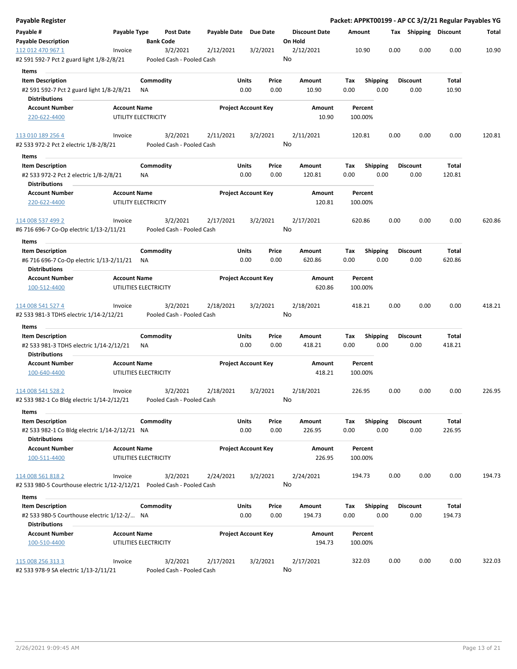| Payable Register                                                           |                                                      |                       |                            |                                 | Packet: APPKT00199 - AP CC 3/2/21 Regular Payables YG |                         |                         |                 |        |
|----------------------------------------------------------------------------|------------------------------------------------------|-----------------------|----------------------------|---------------------------------|-------------------------------------------------------|-------------------------|-------------------------|-----------------|--------|
| Payable #<br><b>Payable Description</b>                                    | Payable Type<br><b>Post Date</b><br><b>Bank Code</b> | Payable Date Due Date |                            | <b>Discount Date</b><br>On Hold | Amount                                                |                         | Tax Shipping Discount   |                 | Total  |
| 112 012 470 967 1<br>Invoice<br>#2 591 592-7 Pct 2 guard light 1/8-2/8/21  | 3/2/2021<br>Pooled Cash - Pooled Cash                | 2/12/2021             | 3/2/2021                   | 2/12/2021<br>No                 | 10.90                                                 | 0.00                    | 0.00                    | 0.00            | 10.90  |
| Items                                                                      |                                                      |                       |                            |                                 |                                                       |                         |                         |                 |        |
| <b>Item Description</b>                                                    | Commodity                                            | Units                 | Price                      | Amount                          | Tax                                                   | <b>Shipping</b>         | <b>Discount</b>         | Total           |        |
| #2 591 592-7 Pct 2 guard light 1/8-2/8/21<br><b>Distributions</b>          | ΝA                                                   | 0.00                  | 0.00                       | 10.90                           | 0.00                                                  | 0.00                    | 0.00                    | 10.90           |        |
| <b>Account Number</b>                                                      | <b>Account Name</b>                                  |                       | <b>Project Account Key</b> | Amount                          | Percent                                               |                         |                         |                 |        |
| 220-622-4400                                                               | UTILITY ELECTRICITY                                  |                       |                            | 10.90                           | 100.00%                                               |                         |                         |                 |        |
| 113 010 189 256 4<br>Invoice                                               | 3/2/2021                                             | 2/11/2021             | 3/2/2021                   | 2/11/2021                       | 120.81                                                | 0.00                    | 0.00                    | 0.00            | 120.81 |
| #2 533 972-2 Pct 2 electric 1/8-2/8/21                                     | Pooled Cash - Pooled Cash                            |                       |                            | No                              |                                                       |                         |                         |                 |        |
| Items                                                                      |                                                      |                       |                            |                                 |                                                       |                         |                         |                 |        |
| <b>Item Description</b><br>#2 533 972-2 Pct 2 electric 1/8-2/8/21          | Commodity<br>NA                                      | Units<br>0.00         | Price<br>0.00              | Amount<br>120.81                | Tax<br>0.00                                           | <b>Shipping</b><br>0.00 | <b>Discount</b><br>0.00 | Total<br>120.81 |        |
| <b>Distributions</b>                                                       |                                                      |                       |                            |                                 |                                                       |                         |                         |                 |        |
| <b>Account Number</b><br>220-622-4400                                      | <b>Account Name</b><br>UTILITY ELECTRICITY           |                       | <b>Project Account Key</b> | Amount<br>120.81                | Percent<br>100.00%                                    |                         |                         |                 |        |
| 114 008 537 499 2<br>Invoice                                               | 3/2/2021                                             | 2/17/2021             | 3/2/2021                   | 2/17/2021                       | 620.86                                                | 0.00                    | 0.00                    | 0.00            | 620.86 |
| #6 716 696-7 Co-Op electric 1/13-2/11/21                                   | Pooled Cash - Pooled Cash                            |                       |                            | No                              |                                                       |                         |                         |                 |        |
| Items                                                                      |                                                      |                       |                            |                                 |                                                       |                         |                         |                 |        |
| <b>Item Description</b>                                                    | Commodity                                            | Units                 | Price                      | Amount                          | Tax                                                   | <b>Shipping</b>         | <b>Discount</b>         | Total           |        |
| #6 716 696-7 Co-Op electric 1/13-2/11/21<br><b>Distributions</b>           | NA.                                                  | 0.00                  | 0.00                       | 620.86                          | 0.00                                                  | 0.00                    | 0.00                    | 620.86          |        |
| <b>Account Number</b>                                                      | <b>Account Name</b>                                  |                       | <b>Project Account Key</b> | Amount                          | Percent                                               |                         |                         |                 |        |
| 100-512-4400                                                               | UTILITIES ELECTRICITY                                |                       |                            | 620.86                          | 100.00%                                               |                         |                         |                 |        |
| 114 008 541 527 4<br>Invoice<br>#2 533 981-3 TDHS electric 1/14-2/12/21    | 3/2/2021<br>Pooled Cash - Pooled Cash                | 2/18/2021             | 3/2/2021                   | 2/18/2021<br>No                 | 418.21                                                | 0.00                    | 0.00                    | 0.00            | 418.21 |
| Items                                                                      |                                                      |                       |                            |                                 |                                                       |                         |                         |                 |        |
| <b>Item Description</b>                                                    | Commodity                                            | Units                 | Price                      | Amount                          | Tax                                                   | Shipping                | <b>Discount</b>         | Total           |        |
| #2 533 981-3 TDHS electric 1/14-2/12/21<br><b>Distributions</b>            | ΝA                                                   | 0.00                  | 0.00                       | 418.21                          | 0.00                                                  | 0.00                    | 0.00                    | 418.21          |        |
| <b>Account Number</b>                                                      | <b>Account Name</b>                                  |                       | <b>Project Account Key</b> | Amount                          | Percent                                               |                         |                         |                 |        |
| 100-640-4400                                                               | UTILITIES ELECTRICITY                                |                       |                            | 418.21                          | 100.00%                                               |                         |                         |                 |        |
| 114 008 541 528 2<br>Invoice                                               | 3/2/2021                                             | 2/18/2021             | 3/2/2021                   | 2/18/2021                       | 226.95                                                | 0.00                    | 0.00                    | 0.00            | 226.95 |
| #2 533 982-1 Co Bldg electric 1/14-2/12/21<br>Items                        | Pooled Cash - Pooled Cash                            |                       |                            | No                              |                                                       |                         |                         |                 |        |
| <b>Item Description</b>                                                    | Commodity                                            | Units                 | Price                      | Amount                          | Tax                                                   | Shipping                | <b>Discount</b>         | Total           |        |
| #2 533 982-1 Co Bldg electric 1/14-2/12/21 NA<br><b>Distributions</b>      |                                                      | 0.00                  | 0.00                       | 226.95                          | 0.00                                                  | 0.00                    | 0.00                    | 226.95          |        |
| <b>Account Number</b>                                                      | <b>Account Name</b>                                  |                       | <b>Project Account Key</b> | Amount                          | Percent                                               |                         |                         |                 |        |
| 100-511-4400                                                               | UTILITIES ELECTRICITY                                |                       |                            | 226.95                          | 100.00%                                               |                         |                         |                 |        |
| 114 008 561 818 2<br>Invoice                                               | 3/2/2021                                             | 2/24/2021             | 3/2/2021                   | 2/24/2021<br>No                 | 194.73                                                | 0.00                    | 0.00                    | 0.00            | 194.73 |
| #2 533 980-5 Courthouse electric 1/12-2/12/21    Pooled Cash - Pooled Cash |                                                      |                       |                            |                                 |                                                       |                         |                         |                 |        |
| Items                                                                      |                                                      |                       |                            |                                 |                                                       |                         |                         |                 |        |
| <b>Item Description</b>                                                    | Commodity                                            | Units                 | Price                      | Amount                          | Tax                                                   | <b>Shipping</b>         | <b>Discount</b>         | Total           |        |
| #2 533 980-5 Courthouse electric 1/12-2/ NA                                |                                                      | 0.00                  | 0.00                       | 194.73                          | 0.00                                                  | 0.00                    | 0.00                    | 194.73          |        |
| <b>Distributions</b>                                                       |                                                      |                       |                            |                                 |                                                       |                         |                         |                 |        |
| <b>Account Number</b>                                                      | <b>Account Name</b>                                  |                       | <b>Project Account Key</b> | Amount                          | Percent                                               |                         |                         |                 |        |
| 100-510-4400                                                               | UTILITIES ELECTRICITY                                |                       |                            | 194.73                          | 100.00%                                               |                         |                         |                 |        |
| 115 008 256 313 3<br>Invoice<br>#2 533 978-9 SA electric 1/13-2/11/21      | 3/2/2021<br>Pooled Cash - Pooled Cash                | 2/17/2021             | 3/2/2021                   | 2/17/2021<br>No                 | 322.03                                                | 0.00                    | 0.00                    | 0.00            | 322.03 |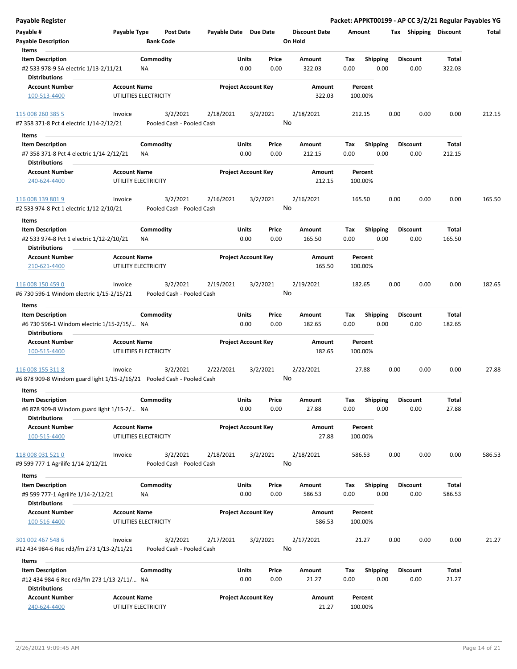| Payable Register                                                                            |                     |                                       |                       |                            |               |                                 |                    |                         |      |                         |                 | Packet: APPKT00199 - AP CC 3/2/21 Regular Payables YG |
|---------------------------------------------------------------------------------------------|---------------------|---------------------------------------|-----------------------|----------------------------|---------------|---------------------------------|--------------------|-------------------------|------|-------------------------|-----------------|-------------------------------------------------------|
| Payable #<br><b>Payable Description</b>                                                     | Payable Type        | Post Date<br><b>Bank Code</b>         | Payable Date Due Date |                            |               | <b>Discount Date</b><br>On Hold | Amount             |                         |      | Tax Shipping Discount   |                 | Total                                                 |
| Items                                                                                       |                     |                                       |                       |                            |               |                                 |                    |                         |      |                         |                 |                                                       |
| <b>Item Description</b><br>#2 533 978-9 SA electric 1/13-2/11/21                            |                     | Commodity<br>ΝA                       |                       | Units<br>0.00              | Price<br>0.00 | Amount<br>322.03                | Tax<br>0.00        | <b>Shipping</b><br>0.00 |      | <b>Discount</b><br>0.00 | Total<br>322.03 |                                                       |
| <b>Distributions</b>                                                                        |                     |                                       |                       |                            |               |                                 |                    |                         |      |                         |                 |                                                       |
| <b>Account Number</b><br>100-513-4400                                                       | <b>Account Name</b> | UTILITIES ELECTRICITY                 |                       | <b>Project Account Key</b> |               | Amount<br>322.03                | Percent<br>100.00% |                         |      |                         |                 |                                                       |
|                                                                                             |                     |                                       |                       |                            |               |                                 |                    |                         |      |                         |                 |                                                       |
| 115 008 260 385 5<br>#7 358 371-8 Pct 4 electric 1/14-2/12/21                               | Invoice             | 3/2/2021<br>Pooled Cash - Pooled Cash | 2/18/2021             | 3/2/2021                   |               | 2/18/2021<br>No                 | 212.15             |                         | 0.00 | 0.00                    | 0.00            | 212.15                                                |
|                                                                                             |                     |                                       |                       |                            |               |                                 |                    |                         |      |                         |                 |                                                       |
| Items                                                                                       |                     |                                       |                       |                            |               |                                 |                    |                         |      |                         |                 |                                                       |
| <b>Item Description</b>                                                                     |                     | Commodity                             |                       | Units                      | Price         | Amount                          | Tax                | <b>Shipping</b>         |      | <b>Discount</b>         | Total           |                                                       |
| #7 358 371-8 Pct 4 electric 1/14-2/12/21<br><b>Distributions</b>                            |                     | ΝA                                    |                       | 0.00                       | 0.00          | 212.15                          | 0.00               | 0.00                    |      | 0.00                    | 212.15          |                                                       |
| <b>Account Number</b>                                                                       | <b>Account Name</b> |                                       |                       | <b>Project Account Key</b> |               | Amount                          | Percent            |                         |      |                         |                 |                                                       |
| 240-624-4400                                                                                |                     | UTILITY ELECTRICITY                   |                       |                            |               | 212.15                          | 100.00%            |                         |      |                         |                 |                                                       |
| 116 008 139 801 9<br>#2 533 974-8 Pct 1 electric 1/12-2/10/21                               | Invoice             | 3/2/2021<br>Pooled Cash - Pooled Cash | 2/16/2021             | 3/2/2021                   |               | 2/16/2021<br>No                 | 165.50             |                         | 0.00 | 0.00                    | 0.00            | 165.50                                                |
| Items                                                                                       |                     |                                       |                       |                            |               |                                 |                    |                         |      |                         |                 |                                                       |
| <b>Item Description</b><br>#2 533 974-8 Pct 1 electric 1/12-2/10/21<br><b>Distributions</b> |                     | Commodity<br>ΝA                       |                       | Units<br>0.00              | Price<br>0.00 | Amount<br>165.50                | Tax<br>0.00        | <b>Shipping</b><br>0.00 |      | <b>Discount</b><br>0.00 | Total<br>165.50 |                                                       |
| <b>Account Number</b><br>210-621-4400                                                       | <b>Account Name</b> | UTILITY ELECTRICITY                   |                       | <b>Project Account Key</b> |               | Amount<br>165.50                | Percent<br>100.00% |                         |      |                         |                 |                                                       |
| 116 008 150 459 0                                                                           | Invoice             | 3/2/2021                              | 2/19/2021             | 3/2/2021                   |               | 2/19/2021                       | 182.65             |                         | 0.00 | 0.00                    | 0.00            | 182.65                                                |
| #6 730 596-1 Windom electric 1/15-2/15/21                                                   |                     | Pooled Cash - Pooled Cash             |                       |                            |               | No                              |                    |                         |      |                         |                 |                                                       |
| Items                                                                                       |                     |                                       |                       |                            |               |                                 |                    |                         |      |                         |                 |                                                       |
| <b>Item Description</b>                                                                     |                     | Commodity                             |                       | Units                      | Price         | Amount                          | Tax                | <b>Shipping</b>         |      | <b>Discount</b>         | Total           |                                                       |
| #6 730 596-1 Windom electric 1/15-2/15/ NA<br><b>Distributions</b>                          |                     |                                       |                       | 0.00                       | 0.00          | 182.65                          | 0.00               | 0.00                    |      | 0.00                    | 182.65          |                                                       |
| <b>Account Number</b>                                                                       | <b>Account Name</b> |                                       |                       | <b>Project Account Key</b> |               | Amount                          | Percent            |                         |      |                         |                 |                                                       |
| 100-515-4400                                                                                |                     | UTILITIES ELECTRICITY                 |                       |                            |               | 182.65                          | 100.00%            |                         |      |                         |                 |                                                       |
| 116 008 155 311 8                                                                           | Invoice             | 3/2/2021                              | 2/22/2021             | 3/2/2021                   |               | 2/22/2021                       | 27.88              |                         | 0.00 | 0.00                    | 0.00            | 27.88                                                 |
| #6 878 909-8 Windom guard light 1/15-2/16/21    Pooled Cash - Pooled Cash                   |                     |                                       |                       |                            |               | No                              |                    |                         |      |                         |                 |                                                       |
| Items                                                                                       |                     |                                       |                       |                            |               |                                 |                    |                         |      |                         |                 |                                                       |
| <b>Item Description</b>                                                                     |                     | Commodity                             |                       | Units                      | Price         | Amount                          | Tax                | Shipping                |      | <b>Discount</b>         | Total           |                                                       |
| #6 878 909-8 Windom guard light 1/15-2/ NA<br><b>Distributions</b>                          |                     |                                       |                       | 0.00                       | 0.00          | 27.88                           | 0.00               | 0.00                    |      | 0.00                    | 27.88           |                                                       |
| <b>Account Number</b><br>100-515-4400                                                       | <b>Account Name</b> | UTILITIES ELECTRICITY                 |                       | <b>Project Account Key</b> |               | Amount<br>27.88                 | Percent<br>100.00% |                         |      |                         |                 |                                                       |
| 118 008 031 521 0                                                                           |                     | 3/2/2021                              |                       |                            |               |                                 | 586.53             |                         | 0.00 | 0.00                    | 0.00            | 586.53                                                |
| #9 599 777-1 Agrilife 1/14-2/12/21                                                          | Invoice             | Pooled Cash - Pooled Cash             | 2/18/2021             | 3/2/2021                   |               | 2/18/2021<br>No                 |                    |                         |      |                         |                 |                                                       |
|                                                                                             |                     |                                       |                       |                            |               |                                 |                    |                         |      |                         |                 |                                                       |
| Items                                                                                       |                     |                                       |                       |                            |               |                                 |                    |                         |      |                         |                 |                                                       |
| <b>Item Description</b>                                                                     |                     | Commodity<br>ΝA                       |                       | Units<br>0.00              | Price<br>0.00 | Amount<br>586.53                | Тах<br>0.00        | <b>Shipping</b><br>0.00 |      | <b>Discount</b><br>0.00 | Total<br>586.53 |                                                       |
| #9 599 777-1 Agrilife 1/14-2/12/21<br><b>Distributions</b>                                  |                     |                                       |                       |                            |               |                                 |                    |                         |      |                         |                 |                                                       |
| <b>Account Number</b>                                                                       | <b>Account Name</b> |                                       |                       | <b>Project Account Key</b> |               | Amount                          | Percent            |                         |      |                         |                 |                                                       |
| 100-516-4400                                                                                |                     | UTILITIES ELECTRICITY                 |                       |                            |               | 586.53                          | 100.00%            |                         |      |                         |                 |                                                       |
| 301 002 467 548 6<br>#12 434 984-6 Rec rd3/fm 273 1/13-2/11/21                              | Invoice             | 3/2/2021<br>Pooled Cash - Pooled Cash | 2/17/2021             | 3/2/2021                   |               | 2/17/2021<br>No                 | 21.27              |                         | 0.00 | 0.00                    | 0.00            | 21.27                                                 |
| Items                                                                                       |                     |                                       |                       |                            |               |                                 |                    |                         |      |                         |                 |                                                       |
| <b>Item Description</b>                                                                     |                     | Commodity                             |                       | Units                      | Price         | Amount                          | Tax                | <b>Shipping</b>         |      | <b>Discount</b>         | Total           |                                                       |
| #12 434 984-6 Rec rd3/fm 273 1/13-2/11/ NA<br><b>Distributions</b>                          |                     |                                       |                       | 0.00                       | 0.00          | 21.27                           | 0.00               | 0.00                    |      | 0.00                    | 21.27           |                                                       |
| <b>Account Number</b>                                                                       | <b>Account Name</b> |                                       |                       | <b>Project Account Key</b> |               | Amount                          | Percent            |                         |      |                         |                 |                                                       |
| 240-624-4400                                                                                |                     | UTILITY ELECTRICITY                   |                       |                            |               | 21.27                           | 100.00%            |                         |      |                         |                 |                                                       |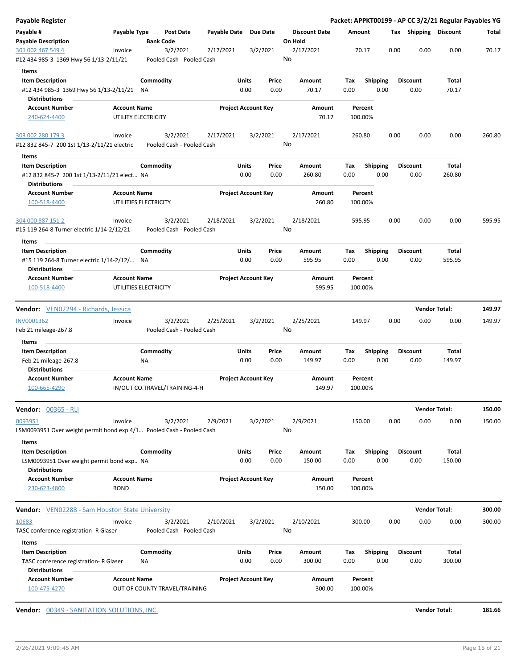| <b>Payable Register</b>                                                                        |                                              |                 |                                       |                       |                                    |               |                                 |             |                         |      |                         | Packet: APPKT00199 - AP CC 3/2/21 Regular Payables YG |        |
|------------------------------------------------------------------------------------------------|----------------------------------------------|-----------------|---------------------------------------|-----------------------|------------------------------------|---------------|---------------------------------|-------------|-------------------------|------|-------------------------|-------------------------------------------------------|--------|
| Payable #<br><b>Payable Description</b>                                                        | Payable Type                                 |                 | <b>Post Date</b><br><b>Bank Code</b>  | Payable Date Due Date |                                    |               | <b>Discount Date</b><br>On Hold | Amount      |                         |      | Tax Shipping Discount   |                                                       | Total  |
| 301 002 467 549 4<br>#12 434 985-3 1369 Hwy 56 1/13-2/11/21                                    | Invoice                                      |                 | 3/2/2021<br>Pooled Cash - Pooled Cash | 2/17/2021             | 3/2/2021                           |               | 2/17/2021<br>No                 |             | 70.17                   | 0.00 | 0.00                    | 0.00                                                  | 70.17  |
| Items                                                                                          |                                              |                 |                                       |                       |                                    |               |                                 |             |                         |      |                         |                                                       |        |
| <b>Item Description</b><br>#12 434 985-3 1369 Hwy 56 1/13-2/11/21 NA<br><b>Distributions</b>   |                                              | Commodity       |                                       |                       | Units<br>0.00                      | Price<br>0.00 | Amount<br>70.17                 | Tax<br>0.00 | <b>Shipping</b><br>0.00 |      | <b>Discount</b><br>0.00 | Total<br>70.17                                        |        |
| <b>Account Number</b>                                                                          | <b>Account Name</b>                          |                 |                                       |                       | <b>Project Account Key</b>         |               | Amount                          |             | Percent                 |      |                         |                                                       |        |
| 240-624-4400                                                                                   | UTILITY ELECTRICITY                          |                 |                                       |                       |                                    |               | 70.17                           | 100.00%     |                         |      |                         |                                                       |        |
| 303 002 280 179 3                                                                              | Invoice                                      |                 | 3/2/2021                              | 2/17/2021             | 3/2/2021                           |               | 2/17/2021                       | 260.80      |                         | 0.00 | 0.00                    | 0.00                                                  | 260.80 |
| #12 832 845-7 200 1st 1/13-2/11/21 electric                                                    |                                              |                 | Pooled Cash - Pooled Cash             |                       |                                    |               | No                              |             |                         |      |                         |                                                       |        |
| Items                                                                                          |                                              |                 |                                       |                       |                                    |               |                                 |             |                         |      |                         |                                                       |        |
| <b>Item Description</b><br>#12 832 845-7 200 1st 1/13-2/11/21 elect NA<br><b>Distributions</b> |                                              | Commodity       |                                       |                       | Units<br>0.00                      | Price<br>0.00 | Amount<br>260.80                | Tax<br>0.00 | <b>Shipping</b><br>0.00 |      | <b>Discount</b><br>0.00 | Total<br>260.80                                       |        |
| <b>Account Number</b>                                                                          | <b>Account Name</b>                          |                 |                                       |                       | <b>Project Account Key</b>         |               | Amount                          |             | Percent                 |      |                         |                                                       |        |
| 100-518-4400                                                                                   | UTILITIES ELECTRICITY                        |                 |                                       |                       |                                    |               | 260.80                          | 100.00%     |                         |      |                         |                                                       |        |
| 304 000 887 151 2<br>#15 119 264-8 Turner electric 1/14-2/12/21                                | Invoice                                      |                 | 3/2/2021<br>Pooled Cash - Pooled Cash | 2/18/2021             | 3/2/2021                           |               | 2/18/2021<br>No                 |             | 595.95                  | 0.00 | 0.00                    | 0.00                                                  | 595.95 |
| Items                                                                                          |                                              |                 |                                       |                       |                                    |               |                                 |             |                         |      |                         |                                                       |        |
| <b>Item Description</b><br>#15 119 264-8 Turner electric 1/14-2/12/ NA<br><b>Distributions</b> |                                              | Commodity       |                                       |                       | Units<br>0.00                      | Price<br>0.00 | Amount<br>595.95                | Tax<br>0.00 | <b>Shipping</b><br>0.00 |      | <b>Discount</b><br>0.00 | Total<br>595.95                                       |        |
| <b>Account Number</b><br>100-518-4400                                                          | <b>Account Name</b><br>UTILITIES ELECTRICITY |                 |                                       |                       | <b>Project Account Key</b>         |               | Amount<br>595.95                | 100.00%     | Percent                 |      |                         |                                                       |        |
| Vendor: VEN02294 - Richards, Jessica                                                           |                                              |                 |                                       |                       |                                    |               |                                 |             |                         |      |                         | <b>Vendor Total:</b>                                  | 149.97 |
| INV0001362<br>Feb 21 mileage-267.8                                                             | Invoice                                      |                 | 3/2/2021<br>Pooled Cash - Pooled Cash | 2/25/2021             | 3/2/2021                           |               | 2/25/2021<br>No                 | 149.97      |                         | 0.00 | 0.00                    | 0.00                                                  | 149.97 |
| Items<br><b>Item Description</b>                                                               |                                              |                 |                                       |                       |                                    |               | Amount                          |             |                         |      |                         |                                                       |        |
| Feb 21 mileage-267.8                                                                           |                                              | Commodity<br>ΝA |                                       |                       | Units<br>0.00                      | Price<br>0.00 | 149.97                          | Tax<br>0.00 | <b>Shipping</b><br>0.00 |      | <b>Discount</b><br>0.00 | Total<br>149.97                                       |        |
| <b>Distributions</b>                                                                           |                                              |                 |                                       |                       |                                    |               |                                 |             |                         |      |                         |                                                       |        |
| <b>Account Number</b><br>100-665-4290                                                          | <b>Account Name</b>                          |                 | IN/OUT CO.TRAVEL/TRAINING-4-H         |                       | <b>Project Account Key</b>         |               | Amount<br>149.97                |             | Percent<br>100.00%      |      |                         |                                                       |        |
| <b>Vendor:</b> 00365 - RLI                                                                     |                                              |                 |                                       |                       |                                    |               |                                 |             |                         |      |                         | <b>Vendor Total:</b>                                  | 150.00 |
| 0093951                                                                                        | Invoice                                      |                 | 3/2/2021                              | 2/9/2021              |                                    |               | 2/9/2021                        | 150.00      |                         | 0.00 | 0.00                    | 0.00                                                  | 150.00 |
| LSM0093951 Over weight permit bond exp 4/1 Pooled Cash - Pooled Cash                           |                                              |                 |                                       |                       | 3/2/2021                           |               | No                              |             |                         |      |                         |                                                       |        |
| Items<br><b>Item Description</b>                                                               |                                              | Commodity       |                                       |                       | Units                              | Price         | Amount                          | Tax         | <b>Shipping</b>         |      | <b>Discount</b>         | Total                                                 |        |
| LSM0093951 Over weight permit bond exp. NA                                                     |                                              |                 |                                       |                       | 0.00                               | 0.00          | 150.00                          | 0.00        | 0.00                    |      | 0.00                    | 150.00                                                |        |
| <b>Distributions</b>                                                                           |                                              |                 |                                       |                       |                                    |               |                                 |             |                         |      |                         |                                                       |        |
| <b>Account Number</b>                                                                          | <b>Account Name</b>                          |                 |                                       |                       | <b>Project Account Key</b>         |               | Amount                          |             | Percent                 |      |                         |                                                       |        |
| 230-623-4800                                                                                   | <b>BOND</b>                                  |                 |                                       |                       |                                    |               | 150.00                          | 100.00%     |                         |      |                         |                                                       |        |
| <b>Vendor:</b> VEN02288 - Sam Houston State University                                         |                                              |                 |                                       |                       |                                    |               |                                 |             |                         |      |                         | <b>Vendor Total:</b>                                  | 300.00 |
| 10683                                                                                          | Invoice                                      |                 | 3/2/2021                              | 2/10/2021             | 3/2/2021                           |               | 2/10/2021                       | 300.00      |                         | 0.00 | 0.00                    | 0.00                                                  | 300.00 |
| TASC conference registration- R Glaser                                                         |                                              |                 | Pooled Cash - Pooled Cash             |                       |                                    |               | No                              |             |                         |      |                         |                                                       |        |
|                                                                                                |                                              |                 |                                       |                       |                                    |               |                                 |             |                         |      |                         |                                                       |        |
| Items                                                                                          |                                              |                 |                                       |                       |                                    |               |                                 |             |                         |      |                         |                                                       |        |
| <b>Item Description</b>                                                                        |                                              | Commodity       |                                       |                       | Units                              | Price         | Amount                          | Tax         | <b>Shipping</b>         |      | <b>Discount</b>         | Total                                                 |        |
| TASC conference registration- R Glaser<br><b>Distributions</b><br><b>Account Number</b>        | <b>Account Name</b>                          | ΝA              |                                       |                       | 0.00<br><b>Project Account Key</b> | 0.00          | 300.00<br>Amount                | 0.00        | 0.00<br>Percent         |      | 0.00                    | 300.00                                                |        |

**Vendor:** 00349 - SANITATION SOLUTIONS, INC. **Vendor Total: 181.66**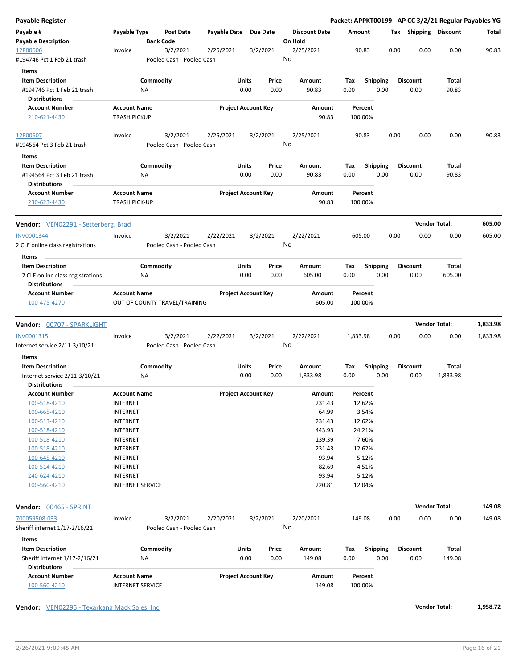| <b>Payable Register</b>                                                       |                                            |                                       |                       |                            |                                 |                    |                         |                         | Packet: APPKT00199 - AP CC 3/2/21 Regular Payables YG |          |
|-------------------------------------------------------------------------------|--------------------------------------------|---------------------------------------|-----------------------|----------------------------|---------------------------------|--------------------|-------------------------|-------------------------|-------------------------------------------------------|----------|
| Payable #<br><b>Payable Description</b>                                       | Payable Type                               | Post Date<br><b>Bank Code</b>         | Payable Date Due Date |                            | <b>Discount Date</b><br>On Hold | Amount             |                         | Tax Shipping Discount   |                                                       | Total    |
| 12P00606<br>#194746 Pct 1 Feb 21 trash                                        | Invoice                                    | 3/2/2021<br>Pooled Cash - Pooled Cash | 2/25/2021             | 3/2/2021                   | 2/25/2021<br>No                 | 90.83              |                         | 0.00<br>0.00            | 0.00                                                  | 90.83    |
|                                                                               |                                            |                                       |                       |                            |                                 |                    |                         |                         |                                                       |          |
| Items                                                                         |                                            |                                       |                       |                            |                                 |                    |                         |                         |                                                       |          |
| <b>Item Description</b><br>#194746 Pct 1 Feb 21 trash                         | ΝA                                         | Commodity                             | Units                 | Price<br>0.00<br>0.00      | Amount<br>90.83                 | Tax<br>0.00        | <b>Shipping</b><br>0.00 | <b>Discount</b><br>0.00 | Total<br>90.83                                        |          |
| <b>Distributions</b>                                                          |                                            |                                       |                       |                            |                                 |                    |                         |                         |                                                       |          |
| <b>Account Number</b><br>210-621-4430                                         | <b>Account Name</b><br><b>TRASH PICKUP</b> |                                       |                       | <b>Project Account Key</b> | Amount<br>90.83                 | Percent<br>100.00% |                         |                         |                                                       |          |
| 12P00607<br>#194564 Pct 3 Feb 21 trash                                        | Invoice                                    | 3/2/2021<br>Pooled Cash - Pooled Cash | 2/25/2021             | 3/2/2021                   | 2/25/2021<br>No                 | 90.83              |                         | 0.00<br>0.00            | 0.00                                                  | 90.83    |
| Items                                                                         |                                            |                                       |                       |                            |                                 |                    |                         |                         |                                                       |          |
| <b>Item Description</b><br>#194564 Pct 3 Feb 21 trash<br><b>Distributions</b> | NA                                         | Commodity                             | Units                 | Price<br>0.00<br>0.00      | Amount<br>90.83                 | Tax<br>0.00        | <b>Shipping</b><br>0.00 | <b>Discount</b><br>0.00 | Total<br>90.83                                        |          |
| <b>Account Number</b><br>230-623-4430                                         | <b>Account Name</b><br>TRASH PICK-UP       |                                       |                       | <b>Project Account Key</b> | Amount<br>90.83                 | Percent<br>100.00% |                         |                         |                                                       |          |
| <b>Vendor:</b> VEN02291 - Setterberg, Brad                                    |                                            |                                       |                       |                            |                                 |                    |                         |                         | <b>Vendor Total:</b>                                  | 605.00   |
| INV0001344                                                                    | Invoice                                    | 3/2/2021                              | 2/22/2021             | 3/2/2021                   | 2/22/2021                       | 605.00             |                         | 0.00<br>0.00            | 0.00                                                  | 605.00   |
| 2 CLE online class registrations                                              |                                            | Pooled Cash - Pooled Cash             |                       |                            | No                              |                    |                         |                         |                                                       |          |
| Items                                                                         |                                            |                                       |                       |                            |                                 |                    |                         |                         |                                                       |          |
| <b>Item Description</b>                                                       |                                            | Commodity                             | Units                 | Price                      | Amount                          | Tax                | <b>Shipping</b>         | <b>Discount</b>         | Total                                                 |          |
| 2 CLE online class registrations<br><b>Distributions</b>                      | ΝA                                         |                                       |                       | 0.00<br>0.00               | 605.00                          | 0.00               | 0.00                    | 0.00                    | 605.00                                                |          |
| <b>Account Number</b>                                                         | <b>Account Name</b>                        |                                       |                       | <b>Project Account Key</b> | Amount                          | Percent            |                         |                         |                                                       |          |
| 100-475-4270                                                                  |                                            | OUT OF COUNTY TRAVEL/TRAINING         |                       |                            | 605.00                          | 100.00%            |                         |                         |                                                       |          |
| <b>Vendor: 00707 - SPARKLIGHT</b>                                             |                                            |                                       |                       |                            |                                 |                    |                         |                         | <b>Vendor Total:</b>                                  | 1,833.98 |
| INV0001315                                                                    | Invoice                                    | 3/2/2021                              | 2/22/2021             | 3/2/2021                   | 2/22/2021                       | 1,833.98           |                         | 0.00<br>0.00            | 0.00                                                  | 1,833.98 |
| Internet service 2/11-3/10/21                                                 |                                            | Pooled Cash - Pooled Cash             |                       |                            | No                              |                    |                         |                         |                                                       |          |
| Items                                                                         |                                            |                                       |                       |                            |                                 |                    |                         |                         |                                                       |          |
| <b>Item Description</b>                                                       |                                            | Commodity                             | Units                 | Price                      | Amount                          | Tax                | <b>Shipping</b>         | Discount                | Total                                                 |          |
| Internet service 2/11-3/10/21<br><b>Distributions</b>                         | ΝA                                         |                                       |                       | 0.00<br>0.00               | 1,833.98                        | 0.00               | 0.00                    | 0.00                    | 1,833.98                                              |          |
| <b>Account Number</b>                                                         | <b>Account Name</b>                        |                                       |                       | <b>Project Account Key</b> | Amount                          | Percent            |                         |                         |                                                       |          |
| 100-518-4210                                                                  | <b>INTERNET</b>                            |                                       |                       |                            | 231.43                          | 12.62%             |                         |                         |                                                       |          |
| 100-665-4210                                                                  | <b>INTERNET</b>                            |                                       |                       |                            | 64.99                           | 3.54%              |                         |                         |                                                       |          |
| 100-513-4210                                                                  | <b>INTERNET</b>                            |                                       |                       |                            | 231.43                          | 12.62%             |                         |                         |                                                       |          |
| 100-518-4210                                                                  | <b>INTERNET</b>                            |                                       |                       |                            | 443.93                          | 24.21%             |                         |                         |                                                       |          |
| 100-518-4210                                                                  | <b>INTERNET</b>                            |                                       |                       |                            | 139.39                          | 7.60%              |                         |                         |                                                       |          |
| 100-518-4210                                                                  | <b>INTERNET</b>                            |                                       |                       |                            | 231.43                          | 12.62%             |                         |                         |                                                       |          |
| 100-645-4210                                                                  | <b>INTERNET</b>                            |                                       |                       |                            | 93.94                           | 5.12%              |                         |                         |                                                       |          |
| 100-514-4210                                                                  | <b>INTERNET</b>                            |                                       |                       |                            | 82.69                           | 4.51%              |                         |                         |                                                       |          |
| 240-624-4210                                                                  | <b>INTERNET</b>                            |                                       |                       |                            | 93.94                           | 5.12%              |                         |                         |                                                       |          |
| 100-560-4210                                                                  | <b>INTERNET SERVICE</b>                    |                                       |                       |                            | 220.81                          | 12.04%             |                         |                         |                                                       |          |
| <b>Vendor: 00465 - SPRINT</b>                                                 |                                            |                                       |                       |                            |                                 |                    |                         |                         | <b>Vendor Total:</b>                                  | 149.08   |
| 700059508-033                                                                 | Invoice                                    | 3/2/2021                              | 2/20/2021             | 3/2/2021                   | 2/20/2021                       | 149.08             |                         | 0.00<br>0.00            | 0.00                                                  | 149.08   |
| Sheriff internet 1/17-2/16/21                                                 |                                            | Pooled Cash - Pooled Cash             |                       |                            | No                              |                    |                         |                         |                                                       |          |
| Items                                                                         |                                            |                                       |                       |                            |                                 |                    |                         |                         |                                                       |          |
| <b>Item Description</b>                                                       |                                            | Commodity                             | Units                 | Price                      | Amount                          | Tax                | <b>Shipping</b>         | <b>Discount</b>         | Total                                                 |          |
| Sheriff internet 1/17-2/16/21                                                 | ΝA                                         |                                       |                       | 0.00<br>0.00               | 149.08                          | 0.00               | 0.00                    | 0.00                    | 149.08                                                |          |
| <b>Distributions</b><br><b>Account Number</b>                                 | <b>Account Name</b>                        |                                       |                       | <b>Project Account Key</b> | Amount                          | Percent            |                         |                         |                                                       |          |
| 100-560-4210                                                                  | <b>INTERNET SERVICE</b>                    |                                       |                       |                            | 149.08                          | 100.00%            |                         |                         |                                                       |          |

**Vendor:** VEN02295 - Texarkana Mack Sales, Inc **Vendor Total: 1,958.72**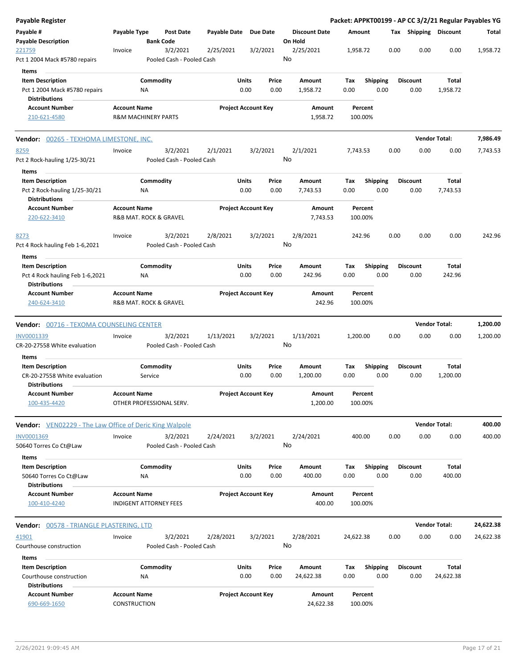| <b>Payable Register</b>                                                                   |                                            |                                |                                       |                       |                            |               |                                 |             |                    |      |                         |                      | Packet: APPKT00199 - AP CC 3/2/21 Regular Payables YG |
|-------------------------------------------------------------------------------------------|--------------------------------------------|--------------------------------|---------------------------------------|-----------------------|----------------------------|---------------|---------------------------------|-------------|--------------------|------|-------------------------|----------------------|-------------------------------------------------------|
| Payable #<br><b>Payable Description</b>                                                   | Payable Type                               | <b>Bank Code</b>               | <b>Post Date</b>                      | Payable Date Due Date |                            |               | <b>Discount Date</b><br>On Hold | Amount      |                    |      | Tax Shipping Discount   |                      | Total                                                 |
| 221759<br>Pct 1 2004 Mack #5780 repairs                                                   | Invoice                                    |                                | 3/2/2021<br>Pooled Cash - Pooled Cash | 2/25/2021             | 3/2/2021                   |               | 2/25/2021<br>No                 | 1,958.72    |                    | 0.00 | 0.00                    | 0.00                 | 1,958.72                                              |
| Items<br><b>Item Description</b><br>Pct 1 2004 Mack #5780 repairs<br><b>Distributions</b> |                                            | Commodity<br>NA                |                                       |                       | Units<br>0.00              | Price<br>0.00 | Amount<br>1,958.72              | Tax<br>0.00 | <b>Shipping</b>    | 0.00 | <b>Discount</b><br>0.00 | Total<br>1,958.72    |                                                       |
| <b>Account Number</b><br>210-621-4580                                                     | <b>Account Name</b>                        | <b>R&amp;M MACHINERY PARTS</b> |                                       |                       | <b>Project Account Key</b> |               | Amount<br>1,958.72              |             | Percent<br>100.00% |      |                         |                      |                                                       |
| Vendor: 00265 - TEXHOMA LIMESTONE, INC.                                                   |                                            |                                |                                       |                       |                            |               |                                 |             |                    |      |                         | <b>Vendor Total:</b> | 7,986.49                                              |
| 8259<br>Pct 2 Rock-hauling 1/25-30/21                                                     | Invoice                                    |                                | 3/2/2021<br>Pooled Cash - Pooled Cash | 2/1/2021              | 3/2/2021                   |               | 2/1/2021<br>No                  | 7,743.53    |                    | 0.00 | 0.00                    | 0.00                 | 7,743.53                                              |
| Items<br><b>Item Description</b><br>Pct 2 Rock-hauling 1/25-30/21<br><b>Distributions</b> |                                            | Commodity<br>NA                |                                       |                       | Units<br>0.00              | Price<br>0.00 | Amount<br>7,743.53              | Tax<br>0.00 | <b>Shipping</b>    | 0.00 | <b>Discount</b><br>0.00 | Total<br>7,743.53    |                                                       |
| <b>Account Number</b><br>220-622-3410                                                     | <b>Account Name</b>                        | R&B MAT. ROCK & GRAVEL         |                                       |                       | <b>Project Account Key</b> |               | Amount<br>7,743.53              |             | Percent<br>100.00% |      |                         |                      |                                                       |
| 8273<br>Pct 4 Rock hauling Feb 1-6,2021<br>Items                                          | Invoice                                    |                                | 3/2/2021<br>Pooled Cash - Pooled Cash | 2/8/2021              | 3/2/2021                   |               | 2/8/2021<br>No                  |             | 242.96             | 0.00 | 0.00                    | 0.00                 | 242.96                                                |
| <b>Item Description</b><br>Pct 4 Rock hauling Feb 1-6,2021<br><b>Distributions</b>        |                                            | Commodity<br>NA                |                                       |                       | Units<br>0.00              | Price<br>0.00 | Amount<br>242.96                | Tax<br>0.00 | <b>Shipping</b>    | 0.00 | <b>Discount</b><br>0.00 | Total<br>242.96      |                                                       |
| <b>Account Number</b><br>240-624-3410                                                     | <b>Account Name</b>                        | R&B MAT. ROCK & GRAVEL         |                                       |                       | <b>Project Account Key</b> |               | Amount<br>242.96                |             | Percent<br>100.00% |      |                         |                      |                                                       |
| <b>Vendor: 00716 - TEXOMA COUNSELING CENTER</b>                                           |                                            |                                |                                       |                       |                            |               |                                 |             |                    |      |                         | <b>Vendor Total:</b> | 1,200.00                                              |
| INV0001339<br>CR-20-27558 White evaluation                                                | Invoice                                    |                                | 3/2/2021<br>Pooled Cash - Pooled Cash | 1/13/2021             | 3/2/2021                   |               | 1/13/2021<br>No                 | 1,200.00    |                    | 0.00 | 0.00                    | 0.00                 | 1,200.00                                              |
| Items                                                                                     |                                            |                                |                                       |                       |                            |               |                                 |             |                    |      |                         |                      |                                                       |
| <b>Item Description</b><br>CR-20-27558 White evaluation<br><b>Distributions</b>           |                                            | Commodity<br>Service           |                                       |                       | Units<br>0.00              | Price<br>0.00 | <b>Amount</b><br>1,200.00       | Tax<br>0.00 | <b>Shipping</b>    | 0.00 | <b>Discount</b><br>0.00 | Total<br>1,200.00    |                                                       |
| <b>Account Number</b><br>100-435-4420                                                     | <b>Account Name</b>                        | OTHER PROFESSIONAL SERV.       |                                       |                       | <b>Project Account Key</b> |               | Amount<br>1,200.00              |             | Percent<br>100.00% |      |                         |                      |                                                       |
| <b>Vendor:</b> VEN02229 - The Law Office of Deric King Walpole                            |                                            |                                |                                       |                       |                            |               |                                 |             |                    |      |                         | <b>Vendor Total:</b> | 400.00                                                |
| INV0001369<br>50640 Torres Co Ct@Law                                                      | Invoice                                    |                                | 3/2/2021<br>Pooled Cash - Pooled Cash | 2/24/2021             | 3/2/2021                   |               | 2/24/2021<br>No                 |             | 400.00             | 0.00 | 0.00                    | 0.00                 | 400.00                                                |
| Items<br><b>Item Description</b>                                                          |                                            | Commodity                      |                                       |                       | Units                      | Price         | Amount                          | Tax         | <b>Shipping</b>    |      | <b>Discount</b>         | Total                |                                                       |
| 50640 Torres Co Ct@Law<br><b>Distributions</b>                                            |                                            | NA.                            |                                       |                       | 0.00                       | 0.00          | 400.00                          | 0.00        |                    | 0.00 | 0.00                    | 400.00               |                                                       |
| <b>Account Number</b><br>100-410-4240                                                     | <b>Account Name</b>                        | <b>INDIGENT ATTORNEY FEES</b>  |                                       |                       | <b>Project Account Key</b> |               | Amount<br>400.00                |             | Percent<br>100.00% |      |                         |                      |                                                       |
| <b>Vendor: 00578 - TRIANGLE PLASTERING, LTD</b>                                           |                                            |                                |                                       |                       |                            |               |                                 |             |                    |      |                         | <b>Vendor Total:</b> | 24,622.38                                             |
| 41901<br>Courthouse construction                                                          | Invoice                                    |                                | 3/2/2021<br>Pooled Cash - Pooled Cash | 2/28/2021             | 3/2/2021                   |               | 2/28/2021<br>No                 | 24,622.38   |                    | 0.00 | 0.00                    | 0.00                 | 24,622.38                                             |
| Items                                                                                     |                                            |                                |                                       |                       |                            |               |                                 |             |                    |      |                         |                      |                                                       |
| <b>Item Description</b><br>Courthouse construction<br><b>Distributions</b>                |                                            | Commodity<br>NA                |                                       |                       | <b>Units</b><br>0.00       | Price<br>0.00 | Amount<br>24,622.38             | Tax<br>0.00 | <b>Shipping</b>    | 0.00 | <b>Discount</b><br>0.00 | Total<br>24,622.38   |                                                       |
| <b>Account Number</b><br>690-669-1650                                                     | <b>Account Name</b><br><b>CONSTRUCTION</b> |                                |                                       |                       | <b>Project Account Key</b> |               | Amount<br>24,622.38             |             | Percent<br>100.00% |      |                         |                      |                                                       |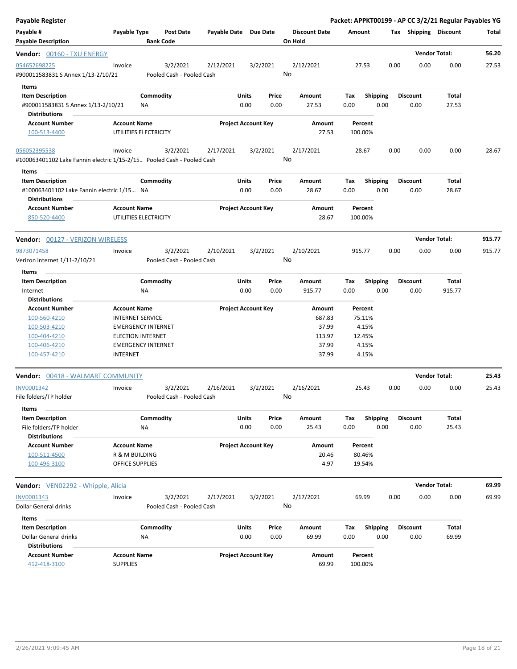| Payable Register                                                                              |                                                |                                       |                       |                            |               |                                 |                    |                         |      |                         | Packet: APPKT00199 - AP CC 3/2/21 Regular Payables YG |        |
|-----------------------------------------------------------------------------------------------|------------------------------------------------|---------------------------------------|-----------------------|----------------------------|---------------|---------------------------------|--------------------|-------------------------|------|-------------------------|-------------------------------------------------------|--------|
| Payable #<br><b>Payable Description</b>                                                       | Payable Type                                   | <b>Post Date</b><br><b>Bank Code</b>  | Payable Date Due Date |                            |               | <b>Discount Date</b><br>On Hold | Amount             |                         |      | Tax Shipping Discount   |                                                       | Total  |
| Vendor: 00160 - TXU ENERGY                                                                    |                                                |                                       |                       |                            |               |                                 |                    |                         |      |                         | <b>Vendor Total:</b>                                  | 56.20  |
| 054652698225<br>#900011583831 S Annex 1/13-2/10/21                                            | Invoice                                        | 3/2/2021<br>Pooled Cash - Pooled Cash | 2/12/2021             | 3/2/2021                   |               | 2/12/2021<br>No                 | 27.53              |                         | 0.00 | 0.00                    | 0.00                                                  | 27.53  |
| Items<br><b>Item Description</b>                                                              |                                                | Commodity                             |                       | Units                      | Price         | Amount                          | Тах                | <b>Shipping</b>         |      | <b>Discount</b>         | Total                                                 |        |
| #900011583831 S Annex 1/13-2/10/21<br><b>Distributions</b>                                    |                                                | ΝA                                    |                       | 0.00                       | 0.00          | 27.53                           | 0.00               | 0.00                    |      | 0.00                    | 27.53                                                 |        |
| <b>Account Number</b><br>100-513-4400                                                         | <b>Account Name</b><br>UTILITIES ELECTRICITY   |                                       |                       | <b>Project Account Key</b> |               | Amount<br>27.53                 | Percent<br>100.00% |                         |      |                         |                                                       |        |
| 056052395538<br>#100063401102 Lake Fannin electric 1/15-2/15 Pooled Cash - Pooled Cash        | Invoice                                        | 3/2/2021                              | 2/17/2021             | 3/2/2021                   |               | 2/17/2021<br>No                 | 28.67              |                         | 0.00 | 0.00                    | 0.00                                                  | 28.67  |
| Items                                                                                         |                                                |                                       |                       |                            |               |                                 |                    |                         |      |                         |                                                       |        |
| <b>Item Description</b><br>#100063401102 Lake Fannin electric 1/15 NA<br><b>Distributions</b> |                                                | Commodity                             |                       | Units<br>0.00              | Price<br>0.00 | Amount<br>28.67                 | Tax<br>0.00        | <b>Shipping</b><br>0.00 |      | <b>Discount</b><br>0.00 | Total<br>28.67                                        |        |
| <b>Account Number</b><br>850-520-4400                                                         | <b>Account Name</b><br>UTILITIES ELECTRICITY   |                                       |                       | <b>Project Account Key</b> |               | Amount<br>28.67                 | Percent<br>100.00% |                         |      |                         |                                                       |        |
| Vendor: 00127 - VERIZON WIRELESS                                                              |                                                |                                       |                       |                            |               |                                 |                    |                         |      |                         | <b>Vendor Total:</b>                                  | 915.77 |
| 9873071458                                                                                    | Invoice                                        | 3/2/2021                              | 2/10/2021             | 3/2/2021                   |               | 2/10/2021                       | 915.77             |                         | 0.00 | 0.00                    | 0.00                                                  | 915.77 |
| Verizon internet 1/11-2/10/21<br>Items                                                        |                                                | Pooled Cash - Pooled Cash             |                       |                            |               | No                              |                    |                         |      |                         |                                                       |        |
| <b>Item Description</b>                                                                       |                                                | Commodity                             |                       | Units                      | Price         | Amount                          | Tax                | <b>Shipping</b>         |      | <b>Discount</b>         | <b>Total</b>                                          |        |
| Internet                                                                                      |                                                | <b>NA</b>                             |                       | 0.00                       | 0.00          | 915.77                          | 0.00               | 0.00                    |      | 0.00                    | 915.77                                                |        |
| <b>Distributions</b>                                                                          |                                                |                                       |                       |                            |               |                                 |                    |                         |      |                         |                                                       |        |
| <b>Account Number</b><br>100-560-4210                                                         | <b>Account Name</b><br><b>INTERNET SERVICE</b> |                                       |                       | <b>Project Account Key</b> |               | Amount<br>687.83                | Percent<br>75.11%  |                         |      |                         |                                                       |        |
| 100-503-4210                                                                                  |                                                | <b>EMERGENCY INTERNET</b>             |                       |                            |               | 37.99                           |                    | 4.15%                   |      |                         |                                                       |        |
| 100-404-4210                                                                                  | <b>ELECTION INTERNET</b>                       |                                       |                       |                            |               | 113.97                          |                    | 12.45%                  |      |                         |                                                       |        |
| 100-406-4210                                                                                  |                                                | <b>EMERGENCY INTERNET</b>             |                       |                            |               | 37.99                           |                    | 4.15%                   |      |                         |                                                       |        |
| 100-457-4210                                                                                  | <b>INTERNET</b>                                |                                       |                       |                            |               | 37.99                           |                    | 4.15%                   |      |                         |                                                       |        |
| Vendor: 00418 - WALMART COMMUNITY                                                             |                                                |                                       |                       |                            |               |                                 |                    |                         |      |                         | <b>Vendor Total:</b>                                  | 25.43  |
| INV0001342                                                                                    | Invoice                                        | 3/2/2021                              | 2/16/2021             | 3/2/2021                   |               | 2/16/2021                       | 25.43              |                         | 0.00 | 0.00                    | 0.00                                                  | 25.43  |
| File folders/TP holder<br>Items                                                               |                                                | Pooled Cash - Pooled Cash             |                       |                            |               | No                              |                    |                         |      |                         |                                                       |        |
| <b>Item Description</b>                                                                       |                                                | Commodity                             |                       | Units                      | Price         | Amount                          | Tax                | <b>Shipping</b>         |      | <b>Discount</b>         | Total                                                 |        |
| File folders/TP holder                                                                        |                                                | NA                                    |                       | 0.00                       | 0.00          | 25.43                           | 0.00               | 0.00                    |      | 0.00                    | 25.43                                                 |        |
| <b>Distributions</b>                                                                          |                                                |                                       |                       |                            |               |                                 |                    |                         |      |                         |                                                       |        |
| <b>Account Number</b>                                                                         | <b>Account Name</b>                            |                                       |                       | <b>Project Account Key</b> |               | Amount                          | Percent            |                         |      |                         |                                                       |        |
| 100-511-4500<br>100-496-3100                                                                  | R & M BUILDING<br>OFFICE SUPPLIES              |                                       |                       |                            |               | 20.46<br>4.97                   |                    | 80.46%<br>19.54%        |      |                         |                                                       |        |
|                                                                                               |                                                |                                       |                       |                            |               |                                 |                    |                         |      |                         |                                                       |        |
| <b>Vendor:</b> VEN02292 - Whipple, Alicia                                                     |                                                |                                       |                       |                            |               |                                 |                    |                         |      |                         | <b>Vendor Total:</b>                                  | 69.99  |
| INV0001343                                                                                    | Invoice                                        | 3/2/2021                              | 2/17/2021             | 3/2/2021                   |               | 2/17/2021                       | 69.99              |                         | 0.00 | 0.00                    | 0.00                                                  | 69.99  |
| Dollar General drinks                                                                         |                                                | Pooled Cash - Pooled Cash             |                       |                            |               | No                              |                    |                         |      |                         |                                                       |        |
| Items                                                                                         |                                                |                                       |                       |                            |               |                                 |                    |                         |      |                         |                                                       |        |
| <b>Item Description</b>                                                                       |                                                | Commodity                             |                       | Units                      | Price         | Amount                          | Tax                | <b>Shipping</b>         |      | <b>Discount</b>         | <b>Total</b>                                          |        |
| Dollar General drinks<br><b>Distributions</b>                                                 |                                                | ΝA                                    |                       | 0.00                       | 0.00          | 69.99                           | 0.00               | 0.00                    |      | 0.00                    | 69.99                                                 |        |
| <b>Account Number</b><br>412-418-3100                                                         | <b>Account Name</b><br><b>SUPPLIES</b>         |                                       |                       | <b>Project Account Key</b> |               | Amount<br>69.99                 | Percent<br>100.00% |                         |      |                         |                                                       |        |
|                                                                                               |                                                |                                       |                       |                            |               |                                 |                    |                         |      |                         |                                                       |        |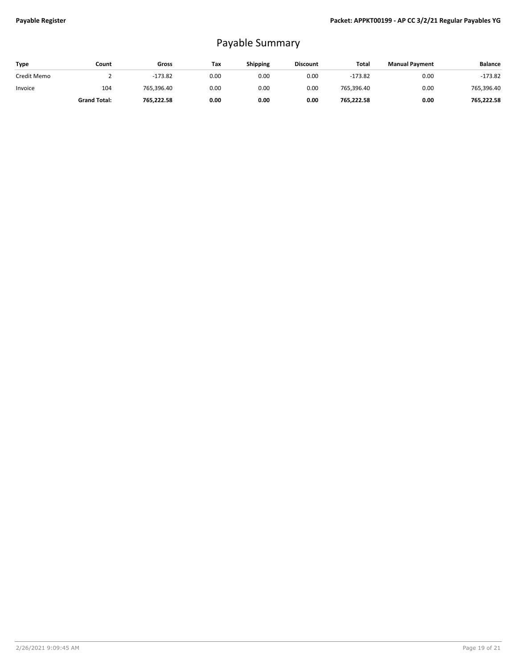## Payable Summary

| Type        | Count               | Gross      | Tax  | <b>Shipping</b> | <b>Discount</b> | Total      | <b>Manual Payment</b> | <b>Balance</b> |
|-------------|---------------------|------------|------|-----------------|-----------------|------------|-----------------------|----------------|
| Credit Memo |                     | $-173.82$  | 0.00 | 0.00            | 0.00            | $-173.82$  | 0.00                  | $-173.82$      |
| Invoice     | 104                 | 765,396.40 | 0.00 | 0.00            | 0.00            | 765,396.40 | 0.00                  | 765,396.40     |
|             | <b>Grand Total:</b> | 765,222.58 | 0.00 | 0.00            | 0.00            | 765,222.58 | 0.00                  | 765,222.58     |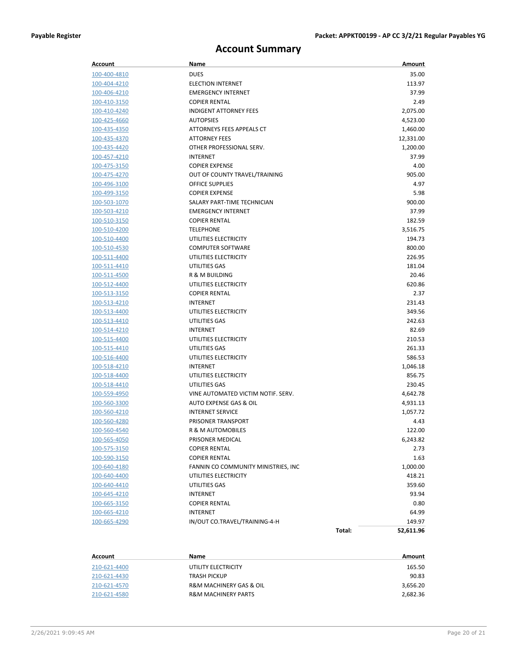## **Account Summary**

| Account             | Name                                |        | Amount    |
|---------------------|-------------------------------------|--------|-----------|
| 100-400-4810        | <b>DUES</b>                         |        | 35.00     |
| 100-404-4210        | <b>ELECTION INTERNET</b>            |        | 113.97    |
| 100-406-4210        | <b>EMERGENCY INTERNET</b>           |        | 37.99     |
| 100-410-3150        | <b>COPIER RENTAL</b>                |        | 2.49      |
| 100-410-4240        | <b>INDIGENT ATTORNEY FEES</b>       |        | 2,075.00  |
| 100-425-4660        | <b>AUTOPSIES</b>                    |        | 4,523.00  |
| 100-435-4350        | ATTORNEYS FEES APPEALS CT           |        | 1,460.00  |
| 100-435-4370        | <b>ATTORNEY FEES</b>                |        | 12,331.00 |
| 100-435-4420        | OTHER PROFESSIONAL SERV.            |        | 1,200.00  |
| 100-457-4210        | <b>INTERNET</b>                     |        | 37.99     |
| 100-475-3150        | <b>COPIER EXPENSE</b>               |        | 4.00      |
| 100-475-4270        | OUT OF COUNTY TRAVEL/TRAINING       |        | 905.00    |
| 100-496-3100        | <b>OFFICE SUPPLIES</b>              |        | 4.97      |
| 100-499-3150        | <b>COPIER EXPENSE</b>               |        | 5.98      |
| 100-503-1070        | SALARY PART-TIME TECHNICIAN         |        | 900.00    |
| 100-503-4210        | <b>EMERGENCY INTERNET</b>           |        | 37.99     |
| 100-510-3150        | <b>COPIER RENTAL</b>                |        | 182.59    |
| 100-510-4200        | <b>TELEPHONE</b>                    |        | 3,516.75  |
| 100-510-4400        | UTILITIES ELECTRICITY               |        | 194.73    |
| 100-510-4530        | <b>COMPUTER SOFTWARE</b>            |        | 800.00    |
| 100-511-4400        | UTILITIES ELECTRICITY               |        | 226.95    |
| 100-511-4410        | UTILITIES GAS                       |        | 181.04    |
| 100-511-4500        | R & M BUILDING                      |        | 20.46     |
| 100-512-4400        | UTILITIES ELECTRICITY               |        | 620.86    |
| 100-513-3150        | <b>COPIER RENTAL</b>                |        | 2.37      |
| <u>100-513-4210</u> | <b>INTERNET</b>                     |        | 231.43    |
| 100-513-4400        | UTILITIES ELECTRICITY               |        | 349.56    |
| 100-513-4410        | UTILITIES GAS                       |        | 242.63    |
| <u>100-514-4210</u> | <b>INTERNET</b>                     |        | 82.69     |
| 100-515-4400        | UTILITIES ELECTRICITY               |        | 210.53    |
| 100-515-4410        | UTILITIES GAS                       |        | 261.33    |
| 100-516-4400        | UTILITIES ELECTRICITY               |        | 586.53    |
| 100-518-4210        | <b>INTERNET</b>                     |        | 1,046.18  |
| 100-518-4400        | UTILITIES ELECTRICITY               |        | 856.75    |
| 100-518-4410        | UTILITIES GAS                       |        | 230.45    |
| <u>100-559-4950</u> | VINE AUTOMATED VICTIM NOTIF. SERV.  |        | 4,642.78  |
| 100-560-3300        | AUTO EXPENSE GAS & OIL              |        | 4,931.13  |
| 100-560-4210        | <b>INTERNET SERVICE</b>             |        | 1,057.72  |
| 100-560-4280        | PRISONER TRANSPORT                  |        | 4.43      |
| 100-560-4540        | R & M AUTOMOBILES                   |        | 122.00    |
| 100-565-4050        | PRISONER MEDICAL                    |        | 6,243.82  |
| 100-575-3150        | <b>COPIER RENTAL</b>                |        | 2.73      |
| 100-590-3150        | <b>COPIER RENTAL</b>                |        | 1.63      |
| 100-640-4180        | FANNIN CO COMMUNITY MINISTRIES, INC |        | 1,000.00  |
| 100-640-4400        | UTILITIES ELECTRICITY               |        | 418.21    |
| 100-640-4410        | UTILITIES GAS                       |        | 359.60    |
| 100-645-4210        | <b>INTERNET</b>                     |        | 93.94     |
| 100-665-3150        | <b>COPIER RENTAL</b>                |        | 0.80      |
| 100-665-4210        | <b>INTERNET</b>                     |        | 64.99     |
| 100-665-4290        | IN/OUT CO.TRAVEL/TRAINING-4-H       |        | 149.97    |
|                     |                                     | Total: | 52,611.96 |

| Account      | Name                                   | Amount   |
|--------------|----------------------------------------|----------|
| 210-621-4400 | UTILITY ELECTRICITY                    | 165.50   |
| 210-621-4430 | <b>TRASH PICKUP</b>                    | 90.83    |
| 210-621-4570 | <b>R&amp;M MACHINERY GAS &amp; OIL</b> | 3,656.20 |
| 210-621-4580 | <b>R&amp;M MACHINERY PARTS</b>         | 2,682.36 |